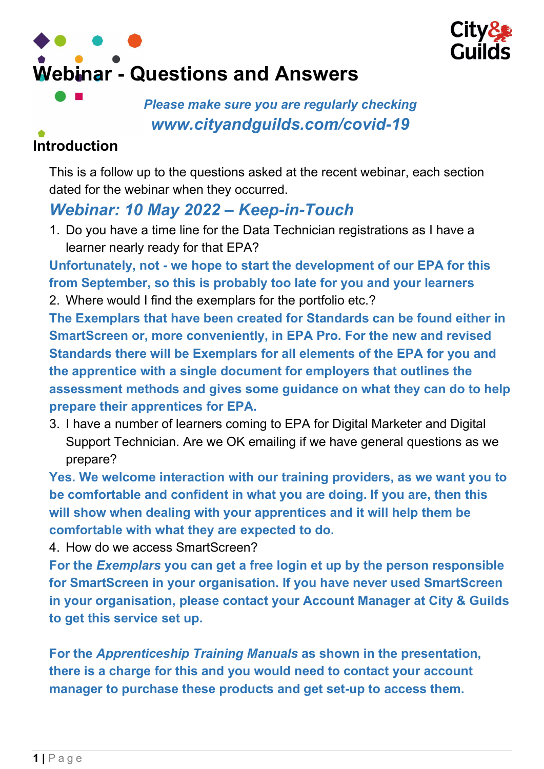



Please make sure you are regularly checking www.cityandguilds.com/covid-19

# Introduction

This is a follow up to the questions asked at the recent webinar, each section dated for the webinar when they occurred.

# Webinar: 10 May 2022 – Keep-in-Touch

1. Do you have a time line for the Data Technician registrations as I have a learner nearly ready for that EPA?

Unfortunately, not - we hope to start the development of our EPA for this from September, so this is probably too late for you and your learners 2. Where would I find the exemplars for the portfolio etc.?

The Exemplars that have been created for Standards can be found either in SmartScreen or, more conveniently, in EPA Pro. For the new and revised Standards there will be Exemplars for all elements of the EPA for you and the apprentice with a single document for employers that outlines the assessment methods and gives some guidance on what they can do to help prepare their apprentices for EPA.

3. I have a number of learners coming to EPA for Digital Marketer and Digital Support Technician. Are we OK emailing if we have general questions as we prepare?

Yes. We welcome interaction with our training providers, as we want you to be comfortable and confident in what you are doing. If you are, then this will show when dealing with your apprentices and it will help them be comfortable with what they are expected to do.

4. How do we access SmartScreen?

For the Exemplars you can get a free login et up by the person responsible for SmartScreen in your organisation. If you have never used SmartScreen in your organisation, please contact your Account Manager at City & Guilds to get this service set up.

For the Apprenticeship Training Manuals as shown in the presentation, there is a charge for this and you would need to contact your account manager to purchase these products and get set-up to access them.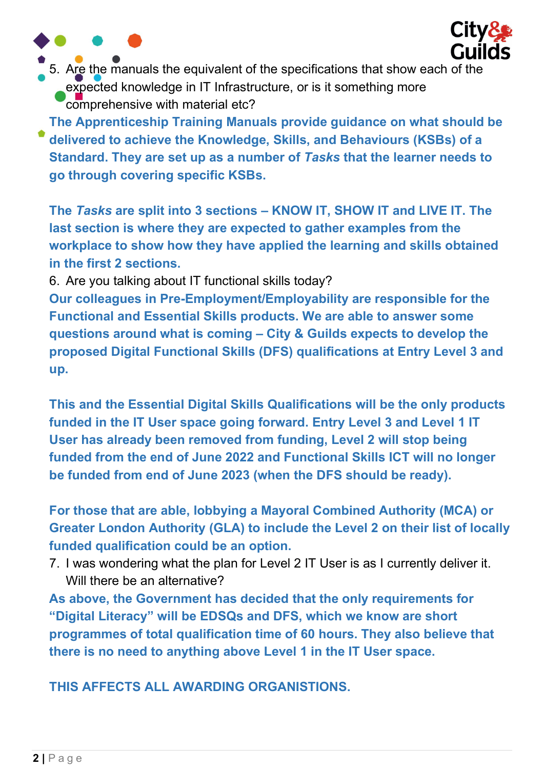

5. Are the manuals the equivalent of the specifications that show each of the expected knowledge in IT Infrastructure, or is it something more comprehensive with material etc?

The Apprenticeship Training Manuals provide guidance on what should be delivered to achieve the Knowledge, Skills, and Behaviours (KSBs) of a Standard. They are set up as a number of Tasks that the learner needs to go through covering specific KSBs.

The Tasks are split into 3 sections – KNOW IT, SHOW IT and LIVE IT. The last section is where they are expected to gather examples from the workplace to show how they have applied the learning and skills obtained in the first 2 sections.

6. Are you talking about IT functional skills today?

Our colleagues in Pre-Employment/Employability are responsible for the Functional and Essential Skills products. We are able to answer some questions around what is coming – City & Guilds expects to develop the proposed Digital Functional Skills (DFS) qualifications at Entry Level 3 and up.

This and the Essential Digital Skills Qualifications will be the only products funded in the IT User space going forward. Entry Level 3 and Level 1 IT User has already been removed from funding, Level 2 will stop being funded from the end of June 2022 and Functional Skills ICT will no longer be funded from end of June 2023 (when the DFS should be ready).

For those that are able, lobbying a Mayoral Combined Authority (MCA) or Greater London Authority (GLA) to include the Level 2 on their list of locally funded qualification could be an option.

7. I was wondering what the plan for Level 2 IT User is as I currently deliver it. Will there be an alternative?

As above, the Government has decided that the only requirements for "Digital Literacy" will be EDSQs and DFS, which we know are short programmes of total qualification time of 60 hours. They also believe that there is no need to anything above Level 1 in the IT User space.

THIS AFFECTS ALL AWARDING ORGANISTIONS.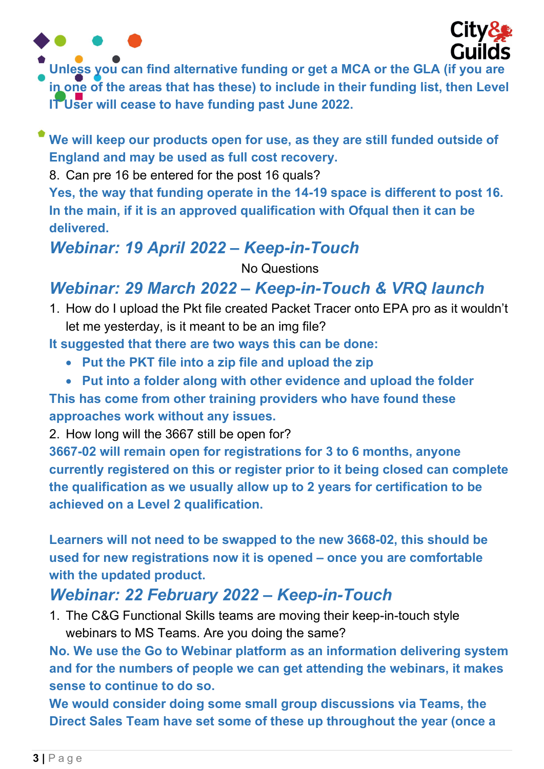



- Unless you can find alternative funding or get a MCA or the GLA (if you are in one of the areas that has these) to include in their funding list, then Level IT User will cease to have funding past June 2022.
- We will keep our products open for use, as they are still funded outside of England and may be used as full cost recovery.

8. Can pre 16 be entered for the post 16 quals?

Yes, the way that funding operate in the 14-19 space is different to post 16. In the main, if it is an approved qualification with Ofqual then it can be delivered.

### Webinar: 19 April 2022 – Keep-in-Touch

No Questions

### Webinar: 29 March 2022 – Keep-in-Touch & VRQ launch

1. How do I upload the Pkt file created Packet Tracer onto EPA pro as it wouldn't let me yesterday, is it meant to be an img file?

It suggested that there are two ways this can be done:

- Put the PKT file into a zip file and upload the zip
- Put into a folder along with other evidence and upload the folder

This has come from other training providers who have found these approaches work without any issues.

2. How long will the 3667 still be open for?

3667-02 will remain open for registrations for 3 to 6 months, anyone currently registered on this or register prior to it being closed can complete the qualification as we usually allow up to 2 years for certification to be achieved on a Level 2 qualification.

Learners will not need to be swapped to the new 3668-02, this should be used for new registrations now it is opened – once you are comfortable with the updated product.

## Webinar: 22 February 2022 – Keep-in-Touch

1. The C&G Functional Skills teams are moving their keep-in-touch style webinars to MS Teams. Are you doing the same?

No. We use the Go to Webinar platform as an information delivering system and for the numbers of people we can get attending the webinars, it makes sense to continue to do so.

We would consider doing some small group discussions via Teams, the Direct Sales Team have set some of these up throughout the year (once a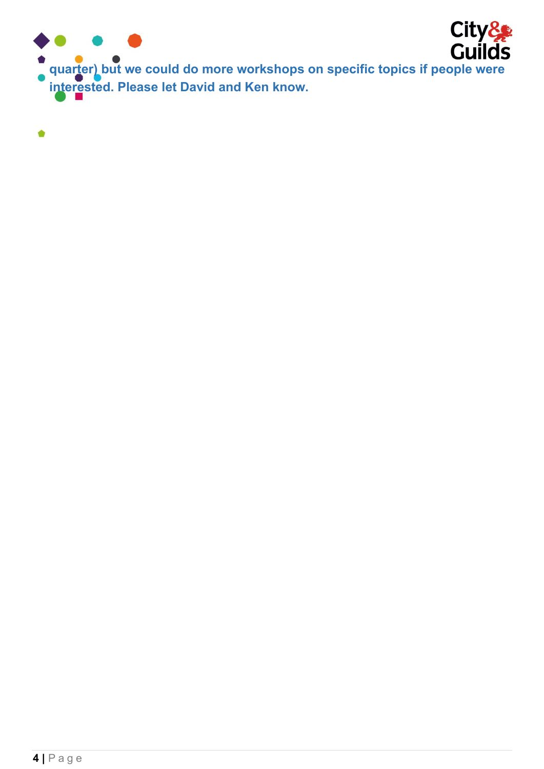

**City & Contains City**<br>Cuilds<br>quarter) but we could do more workshops on specific topics if people were interested. Please let David and Ken know.

 $\bullet$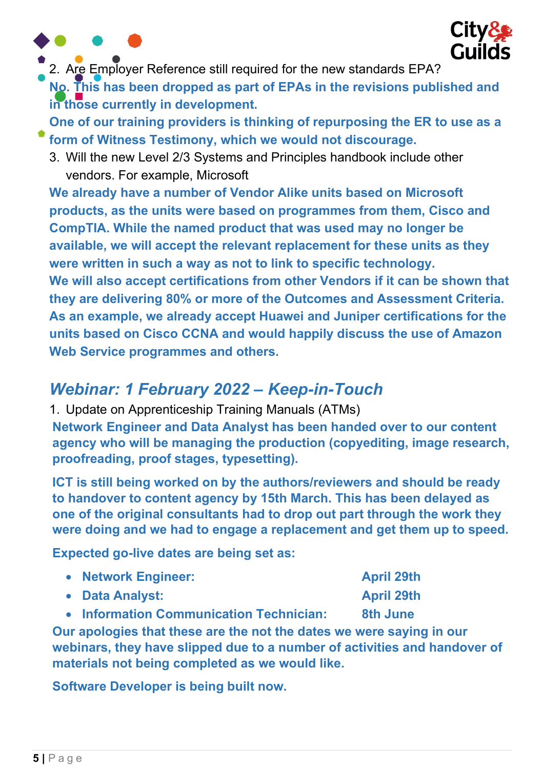



2. Are Employer Reference still required for the new standards EPA?

No. This has been dropped as part of EPAs in the revisions published and in those currently in development.

One of our training providers is thinking of repurposing the ER to use as a form of Witness Testimony, which we would not discourage.

3. Will the new Level 2/3 Systems and Principles handbook include other vendors. For example, Microsoft

We already have a number of Vendor Alike units based on Microsoft products, as the units were based on programmes from them, Cisco and CompTIA. While the named product that was used may no longer be available, we will accept the relevant replacement for these units as they were written in such a way as not to link to specific technology. We will also accept certifications from other Vendors if it can be shown that they are delivering 80% or more of the Outcomes and Assessment Criteria. As an example, we already accept Huawei and Juniper certifications for the units based on Cisco CCNA and would happily discuss the use of Amazon Web Service programmes and others.

# Webinar: 1 February 2022 – Keep-in-Touch

1. Update on Apprenticeship Training Manuals (ATMs) Network Engineer and Data Analyst has been handed over to our content agency who will be managing the production (copyediting, image research, proofreading, proof stages, typesetting).

ICT is still being worked on by the authors/reviewers and should be ready to handover to content agency by 15th March. This has been delayed as one of the original consultants had to drop out part through the work they were doing and we had to engage a replacement and get them up to speed.

Expected go-live dates are being set as:

| • Network Engineer: | <b>April 29th</b> |
|---------------------|-------------------|
| • Data Analyst:     | <b>April 29th</b> |

• Information Communication Technician: 8th June

Our apologies that these are the not the dates we were saying in our webinars, they have slipped due to a number of activities and handover of materials not being completed as we would like.

Software Developer is being built now.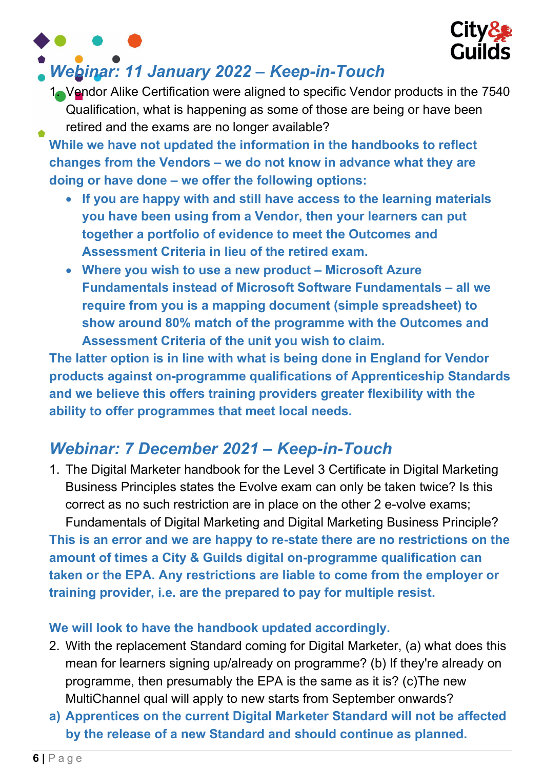

## Webinar: 11 January 2022 – Keep-in-Touch

1. Vendor Alike Certification were aligned to specific Vendor products in the 7540 Qualification, what is happening as some of those are being or have been retired and the exams are no longer available?

While we have not updated the information in the handbooks to reflect changes from the Vendors – we do not know in advance what they are doing or have done – we offer the following options:

- If you are happy with and still have access to the learning materials you have been using from a Vendor, then your learners can put together a portfolio of evidence to meet the Outcomes and Assessment Criteria in lieu of the retired exam.
- Where you wish to use a new product Microsoft Azure Fundamentals instead of Microsoft Software Fundamentals – all we require from you is a mapping document (simple spreadsheet) to show around 80% match of the programme with the Outcomes and Assessment Criteria of the unit you wish to claim.

The latter option is in line with what is being done in England for Vendor products against on-programme qualifications of Apprenticeship Standards and we believe this offers training providers greater flexibility with the ability to offer programmes that meet local needs.

# Webinar: 7 December 2021 – Keep-in-Touch

1. The Digital Marketer handbook for the Level 3 Certificate in Digital Marketing Business Principles states the Evolve exam can only be taken twice? Is this correct as no such restriction are in place on the other 2 e-volve exams; Fundamentals of Digital Marketing and Digital Marketing Business Principle? This is an error and we are happy to re-state there are no restrictions on the amount of times a City & Guilds digital on-programme qualification can taken or the EPA. Any restrictions are liable to come from the employer or

training provider, i.e. are the prepared to pay for multiple resist.

#### We will look to have the handbook updated accordingly.

- 2. With the replacement Standard coming for Digital Marketer, (a) what does this mean for learners signing up/already on programme? (b) If they're already on programme, then presumably the EPA is the same as it is? (c)The new MultiChannel qual will apply to new starts from September onwards?
- a) Apprentices on the current Digital Marketer Standard will not be affected by the release of a new Standard and should continue as planned.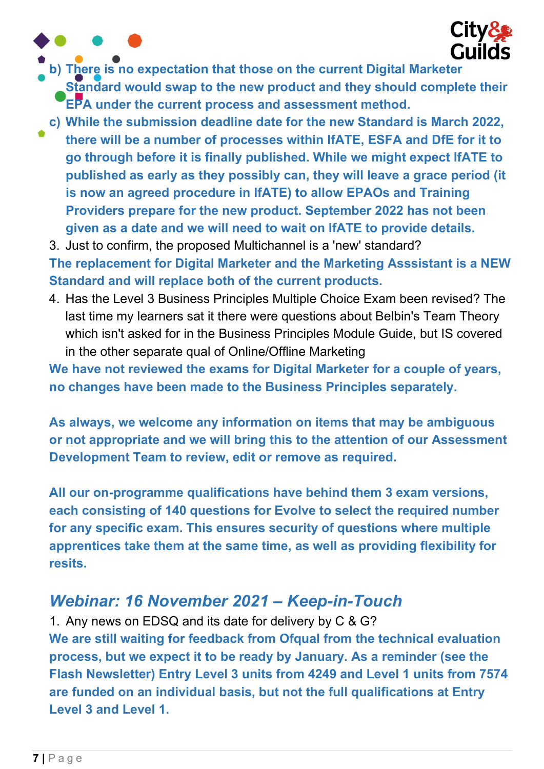

b) There is no expectation that those on the current Digital Marketer

Standard would swap to the new product and they should complete their **EPA under the current process and assessment method.** 

c) While the submission deadline date for the new Standard is March 2022, there will be a number of processes within IfATE, ESFA and DfE for it to go through before it is finally published. While we might expect IfATE to published as early as they possibly can, they will leave a grace period (it is now an agreed procedure in IfATE) to allow EPAOs and Training Providers prepare for the new product. September 2022 has not been given as a date and we will need to wait on IfATE to provide details.

3. Just to confirm, the proposed Multichannel is a 'new' standard? The replacement for Digital Marketer and the Marketing Asssistant is a NEW Standard and will replace both of the current products.

4. Has the Level 3 Business Principles Multiple Choice Exam been revised? The last time my learners sat it there were questions about Belbin's Team Theory which isn't asked for in the Business Principles Module Guide, but IS covered in the other separate qual of Online/Offline Marketing

We have not reviewed the exams for Digital Marketer for a couple of years, no changes have been made to the Business Principles separately.

As always, we welcome any information on items that may be ambiguous or not appropriate and we will bring this to the attention of our Assessment Development Team to review, edit or remove as required.

All our on-programme qualifications have behind them 3 exam versions, each consisting of 140 questions for Evolve to select the required number for any specific exam. This ensures security of questions where multiple apprentices take them at the same time, as well as providing flexibility for resits.

## Webinar: 16 November 2021 – Keep-in-Touch

1. Any news on EDSQ and its date for delivery by C & G? We are still waiting for feedback from Ofqual from the technical evaluation process, but we expect it to be ready by January. As a reminder (see the Flash Newsletter) Entry Level 3 units from 4249 and Level 1 units from 7574 are funded on an individual basis, but not the full qualifications at Entry Level 3 and Level 1.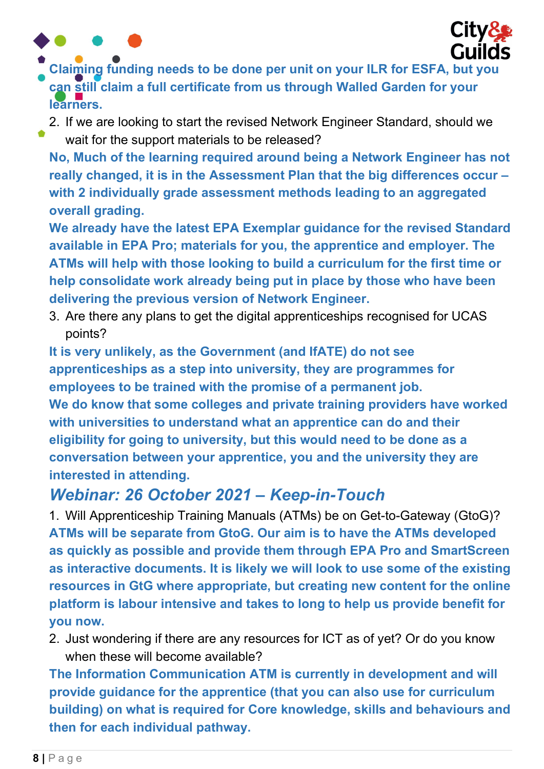

- Claiming funding needs to be done per unit on your ILR for ESFA, but you can still claim a full certificate from us through Walled Garden for your learners.
	- 2. If we are looking to start the revised Network Engineer Standard, should we wait for the support materials to be released?

No, Much of the learning required around being a Network Engineer has not really changed, it is in the Assessment Plan that the big differences occur – with 2 individually grade assessment methods leading to an aggregated overall grading.

We already have the latest EPA Exemplar guidance for the revised Standard available in EPA Pro; materials for you, the apprentice and employer. The ATMs will help with those looking to build a curriculum for the first time or help consolidate work already being put in place by those who have been delivering the previous version of Network Engineer.

3. Are there any plans to get the digital apprenticeships recognised for UCAS points?

It is very unlikely, as the Government (and IfATE) do not see apprenticeships as a step into university, they are programmes for employees to be trained with the promise of a permanent job. We do know that some colleges and private training providers have worked with universities to understand what an apprentice can do and their eligibility for going to university, but this would need to be done as a conversation between your apprentice, you and the university they are interested in attending.

### Webinar: 26 October 2021 – Keep-in-Touch

1. Will Apprenticeship Training Manuals (ATMs) be on Get-to-Gateway (GtoG)? ATMs will be separate from GtoG. Our aim is to have the ATMs developed as quickly as possible and provide them through EPA Pro and SmartScreen as interactive documents. It is likely we will look to use some of the existing resources in GtG where appropriate, but creating new content for the online platform is labour intensive and takes to long to help us provide benefit for you now.

2. Just wondering if there are any resources for ICT as of yet? Or do you know when these will become available?

The Information Communication ATM is currently in development and will provide guidance for the apprentice (that you can also use for curriculum building) on what is required for Core knowledge, skills and behaviours and then for each individual pathway.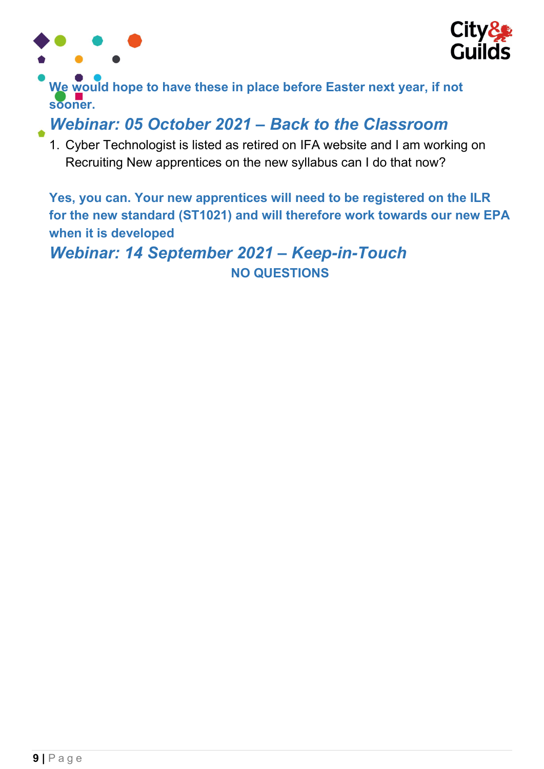



We would hope to have these in place before Easter next year, if not sooner.

### Webinar: 05 October 2021 – Back to the Classroom

1. Cyber Technologist is listed as retired on IFA website and I am working on Recruiting New apprentices on the new syllabus can I do that now?

Yes, you can. Your new apprentices will need to be registered on the ILR for the new standard (ST1021) and will therefore work towards our new EPA when it is developed

Webinar: 14 September 2021 – Keep-in-Touch NO QUESTIONS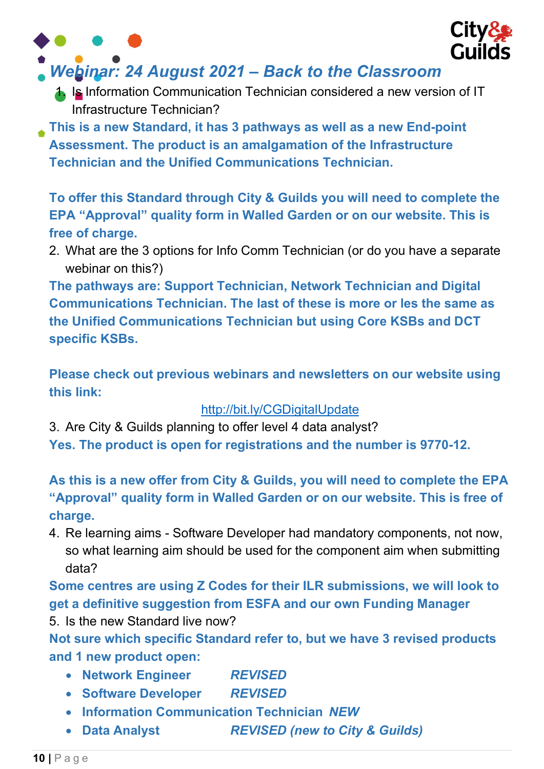

# Webinar: 24 August 2021 – Back to the Classroom

- 1. Is Information Communication Technician considered a new version of IT Infrastructure Technician?
- This is a new Standard, it has 3 pathways as well as a new End-point Assessment. The product is an amalgamation of the Infrastructure Technician and the Unified Communications Technician.

To offer this Standard through City & Guilds you will need to complete the EPA "Approval" quality form in Walled Garden or on our website. This is free of charge.

2. What are the 3 options for Info Comm Technician (or do you have a separate webinar on this?)

The pathways are: Support Technician, Network Technician and Digital Communications Technician. The last of these is more or les the same as the Unified Communications Technician but using Core KSBs and DCT specific KSBs.

Please check out previous webinars and newsletters on our website using this link:

#### http://bit.ly/CGDigitalUpdate

3. Are City & Guilds planning to offer level 4 data analyst? Yes. The product is open for registrations and the number is 9770-12.

As this is a new offer from City & Guilds, you will need to complete the EPA "Approval" quality form in Walled Garden or on our website. This is free of charge.

4. Re learning aims - Software Developer had mandatory components, not now, so what learning aim should be used for the component aim when submitting data?

Some centres are using Z Codes for their ILR submissions, we will look to get a definitive suggestion from ESFA and our own Funding Manager

5. Is the new Standard live now?

Not sure which specific Standard refer to, but we have 3 revised products and 1 new product open:

- Network Engineer REVISED
- Software Developer REVISED
- **Information Communication Technician NEW**
- Data Analyst REVISED (new to City & Guilds)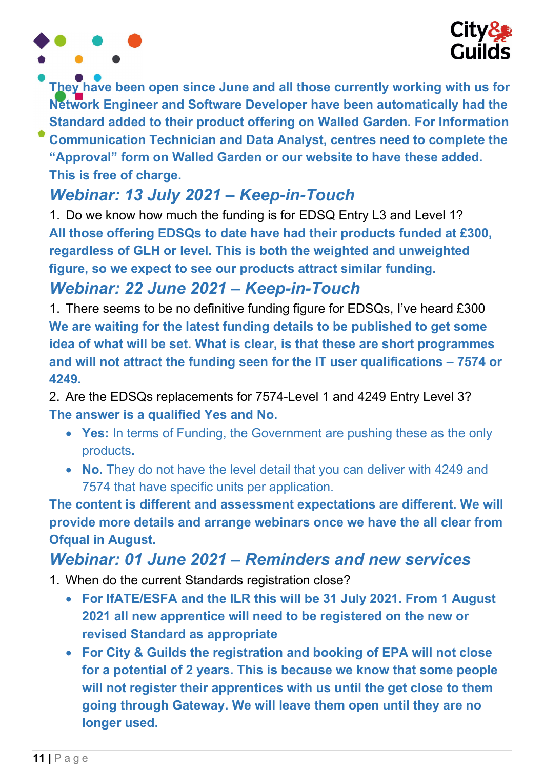

They have been open since June and all those currently working with us for Network Engineer and Software Developer have been automatically had the Standard added to their product offering on Walled Garden. For Information Communication Technician and Data Analyst, centres need to complete the

"Approval" form on Walled Garden or our website to have these added. This is free of charge.

# Webinar: 13 July 2021 – Keep-in-Touch

1. Do we know how much the funding is for EDSQ Entry L3 and Level 1? All those offering EDSQs to date have had their products funded at £300, regardless of GLH or level. This is both the weighted and unweighted figure, so we expect to see our products attract similar funding.

### Webinar: 22 June 2021 – Keep-in-Touch

1. There seems to be no definitive funding figure for EDSQs, I've heard £300 We are waiting for the latest funding details to be published to get some idea of what will be set. What is clear, is that these are short programmes and will not attract the funding seen for the IT user qualifications – 7574 or 4249.

2. Are the EDSQs replacements for 7574-Level 1 and 4249 Entry Level 3? The answer is a qualified Yes and No.

- Yes: In terms of Funding, the Government are pushing these as the only products.
- No. They do not have the level detail that you can deliver with 4249 and 7574 that have specific units per application.

The content is different and assessment expectations are different. We will provide more details and arrange webinars once we have the all clear from Ofqual in August.

## Webinar: 01 June 2021 – Reminders and new services

- 1. When do the current Standards registration close?
	- For IfATE/ESFA and the ILR this will be 31 July 2021. From 1 August 2021 all new apprentice will need to be registered on the new or revised Standard as appropriate
	- For City & Guilds the registration and booking of EPA will not close for a potential of 2 years. This is because we know that some people will not register their apprentices with us until the get close to them going through Gateway. We will leave them open until they are no longer used.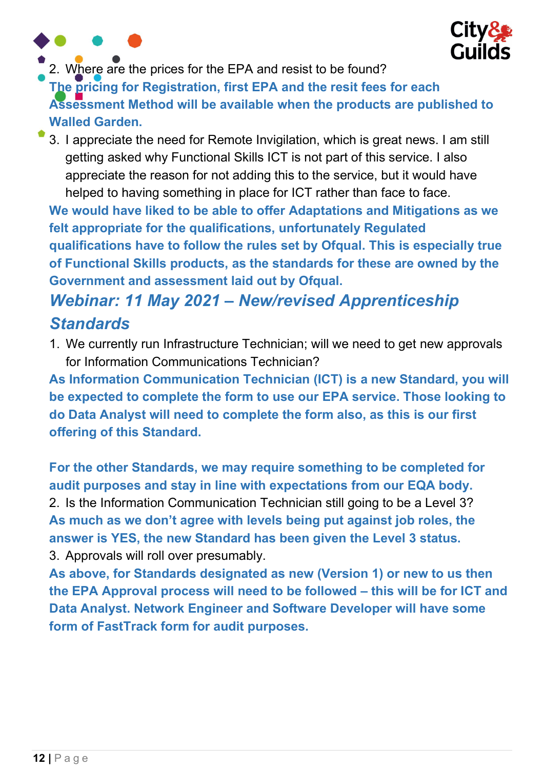



2. Where are the prices for the EPA and resist to be found?

The pricing for Registration, first EPA and the resit fees for each

Assessment Method will be available when the products are published to Walled Garden.

3. I appreciate the need for Remote Invigilation, which is great news. I am still getting asked why Functional Skills ICT is not part of this service. I also appreciate the reason for not adding this to the service, but it would have helped to having something in place for ICT rather than face to face.

We would have liked to be able to offer Adaptations and Mitigations as we felt appropriate for the qualifications, unfortunately Regulated qualifications have to follow the rules set by Ofqual. This is especially true of Functional Skills products, as the standards for these are owned by the Government and assessment laid out by Ofqual.

# Webinar: 11 May 2021 – New/revised Apprenticeship **Standards**

1. We currently run Infrastructure Technician; will we need to get new approvals for Information Communications Technician?

As Information Communication Technician (ICT) is a new Standard, you will be expected to complete the form to use our EPA service. Those looking to do Data Analyst will need to complete the form also, as this is our first offering of this Standard.

For the other Standards, we may require something to be completed for audit purposes and stay in line with expectations from our EQA body. 2. Is the Information Communication Technician still going to be a Level 3? As much as we don't agree with levels being put against job roles, the answer is YES, the new Standard has been given the Level 3 status. 3. Approvals will roll over presumably.

As above, for Standards designated as new (Version 1) or new to us then the EPA Approval process will need to be followed – this will be for ICT and Data Analyst. Network Engineer and Software Developer will have some form of FastTrack form for audit purposes.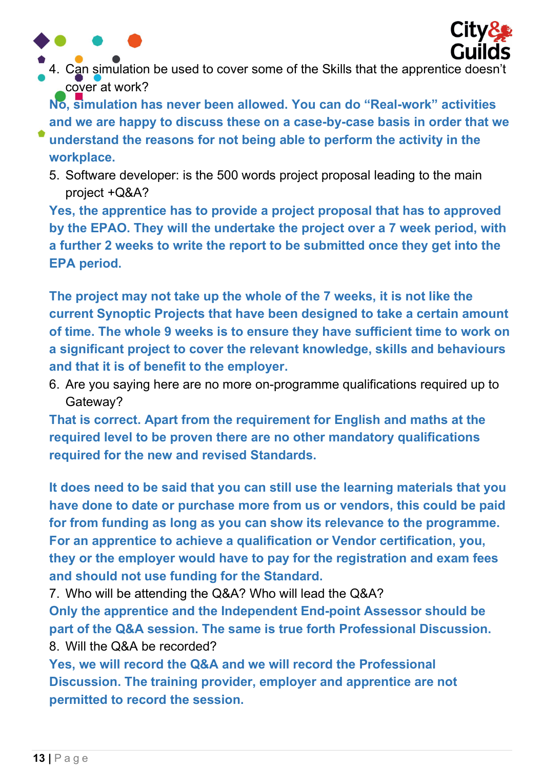



4. Can simulation be used to cover some of the Skills that the apprentice doesn't cover at work?

No, simulation has never been allowed. You can do "Real-work" activities and we are happy to discuss these on a case-by-case basis in order that we

- understand the reasons for not being able to perform the activity in the workplace.
- 5. Software developer: is the 500 words project proposal leading to the main project +Q&A?

Yes, the apprentice has to provide a project proposal that has to approved by the EPAO. They will the undertake the project over a 7 week period, with a further 2 weeks to write the report to be submitted once they get into the EPA period.

The project may not take up the whole of the 7 weeks, it is not like the current Synoptic Projects that have been designed to take a certain amount of time. The whole 9 weeks is to ensure they have sufficient time to work on a significant project to cover the relevant knowledge, skills and behaviours and that it is of benefit to the employer.

6. Are you saying here are no more on-programme qualifications required up to Gateway?

That is correct. Apart from the requirement for English and maths at the required level to be proven there are no other mandatory qualifications required for the new and revised Standards.

It does need to be said that you can still use the learning materials that you have done to date or purchase more from us or vendors, this could be paid for from funding as long as you can show its relevance to the programme. For an apprentice to achieve a qualification or Vendor certification, you, they or the employer would have to pay for the registration and exam fees and should not use funding for the Standard.

7. Who will be attending the Q&A? Who will lead the Q&A?

Only the apprentice and the Independent End-point Assessor should be part of the Q&A session. The same is true forth Professional Discussion. 8. Will the Q&A be recorded?

Yes, we will record the Q&A and we will record the Professional Discussion. The training provider, employer and apprentice are not permitted to record the session.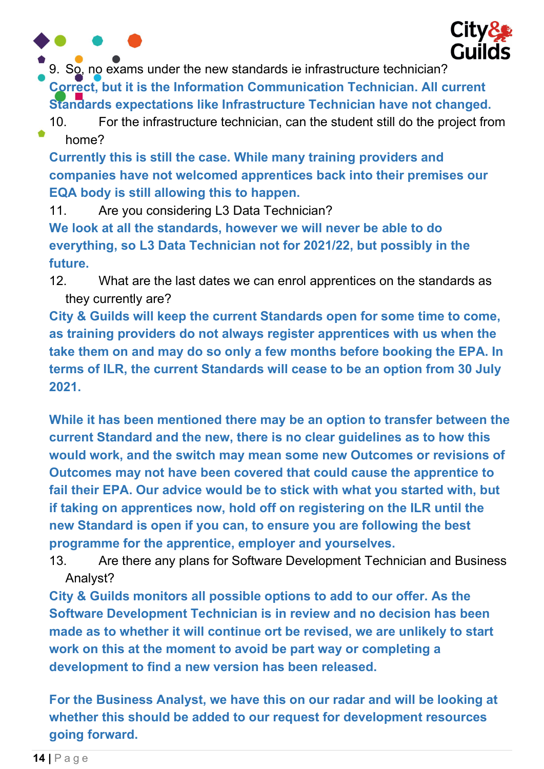

9. So, no exams under the new standards ie infrastructure technician?

Correct, but it is the Information Communication Technician. All current Standards expectations like Infrastructure Technician have not changed.

10. For the infrastructure technician, can the student still do the project from home?

Currently this is still the case. While many training providers and companies have not welcomed apprentices back into their premises our EQA body is still allowing this to happen.

11. Are you considering L3 Data Technician? We look at all the standards, however we will never be able to do

everything, so L3 Data Technician not for 2021/22, but possibly in the future.

12. What are the last dates we can enrol apprentices on the standards as they currently are?

City & Guilds will keep the current Standards open for some time to come, as training providers do not always register apprentices with us when the take them on and may do so only a few months before booking the EPA. In terms of ILR, the current Standards will cease to be an option from 30 July 2021.

While it has been mentioned there may be an option to transfer between the current Standard and the new, there is no clear guidelines as to how this would work, and the switch may mean some new Outcomes or revisions of Outcomes may not have been covered that could cause the apprentice to fail their EPA. Our advice would be to stick with what you started with, but if taking on apprentices now, hold off on registering on the ILR until the new Standard is open if you can, to ensure you are following the best programme for the apprentice, employer and yourselves.

13. Are there any plans for Software Development Technician and Business Analyst?

City & Guilds monitors all possible options to add to our offer. As the Software Development Technician is in review and no decision has been made as to whether it will continue ort be revised, we are unlikely to start work on this at the moment to avoid be part way or completing a development to find a new version has been released.

For the Business Analyst, we have this on our radar and will be looking at whether this should be added to our request for development resources going forward.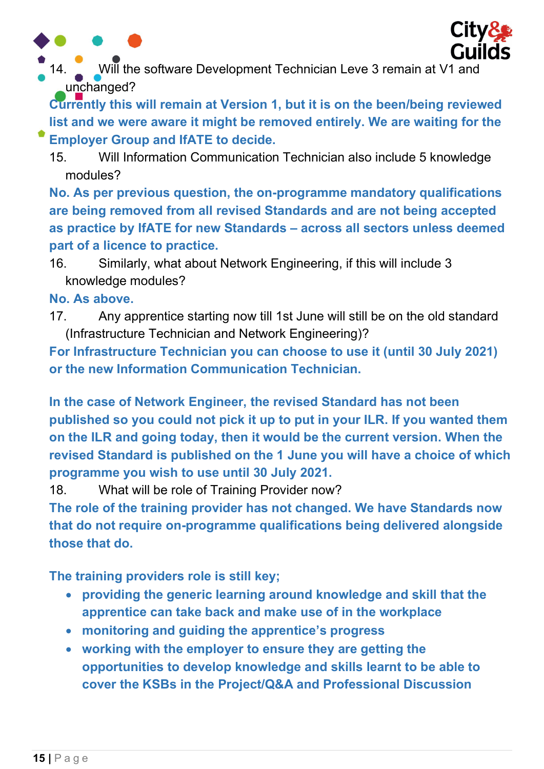



Will the software Development Technician Leve 3 remain at V1 and unchanged?

Currently this will remain at Version 1, but it is on the been/being reviewed list and we were aware it might be removed entirely. We are waiting for the Employer Group and IfATE to decide.

15. Will Information Communication Technician also include 5 knowledge modules?

No. As per previous question, the on-programme mandatory qualifications are being removed from all revised Standards and are not being accepted as practice by IfATE for new Standards – across all sectors unless deemed part of a licence to practice.

16. Similarly, what about Network Engineering, if this will include 3 knowledge modules?

No. As above.

17. Any apprentice starting now till 1st June will still be on the old standard (Infrastructure Technician and Network Engineering)?

For Infrastructure Technician you can choose to use it (until 30 July 2021) or the new Information Communication Technician.

In the case of Network Engineer, the revised Standard has not been published so you could not pick it up to put in your ILR. If you wanted them on the ILR and going today, then it would be the current version. When the revised Standard is published on the 1 June you will have a choice of which programme you wish to use until 30 July 2021.

18. What will be role of Training Provider now?

The role of the training provider has not changed. We have Standards now that do not require on-programme qualifications being delivered alongside those that do.

The training providers role is still key;

- providing the generic learning around knowledge and skill that the apprentice can take back and make use of in the workplace
- monitoring and guiding the apprentice's progress
- working with the employer to ensure they are getting the opportunities to develop knowledge and skills learnt to be able to cover the KSBs in the Project/Q&A and Professional Discussion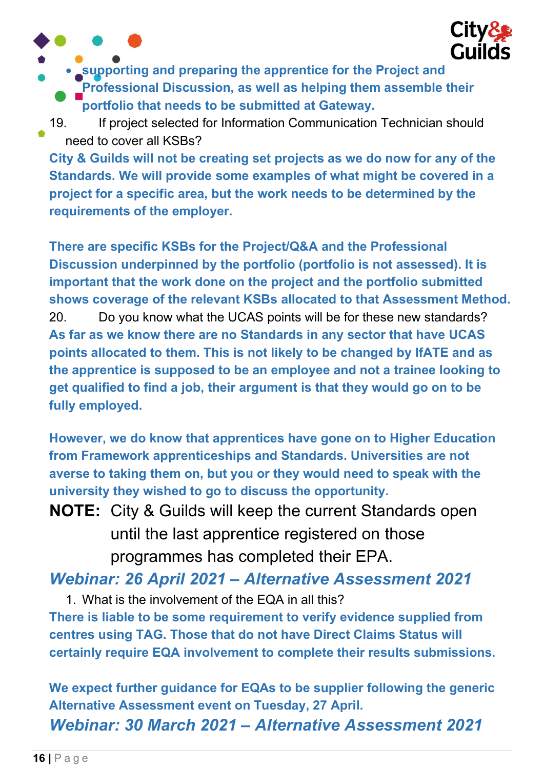

• supporting and preparing the apprentice for the Project and Professional Discussion, as well as helping them assemble their portfolio that needs to be submitted at Gateway.

19. If project selected for Information Communication Technician should need to cover all KSBs?

City & Guilds will not be creating set projects as we do now for any of the Standards. We will provide some examples of what might be covered in a project for a specific area, but the work needs to be determined by the requirements of the employer.

There are specific KSBs for the Project/Q&A and the Professional Discussion underpinned by the portfolio (portfolio is not assessed). It is important that the work done on the project and the portfolio submitted shows coverage of the relevant KSBs allocated to that Assessment Method. 20. Do you know what the UCAS points will be for these new standards? As far as we know there are no Standards in any sector that have UCAS points allocated to them. This is not likely to be changed by IfATE and as the apprentice is supposed to be an employee and not a trainee looking to get qualified to find a job, their argument is that they would go on to be fully employed.

However, we do know that apprentices have gone on to Higher Education from Framework apprenticeships and Standards. Universities are not averse to taking them on, but you or they would need to speak with the university they wished to go to discuss the opportunity.

NOTE: City & Guilds will keep the current Standards open until the last apprentice registered on those programmes has completed their EPA.

Webinar: 26 April 2021 – Alternative Assessment 2021

1. What is the involvement of the EQA in all this? There is liable to be some requirement to verify evidence supplied from centres using TAG. Those that do not have Direct Claims Status will certainly require EQA involvement to complete their results submissions.

We expect further guidance for EQAs to be supplier following the generic Alternative Assessment event on Tuesday, 27 April. Webinar: 30 March 2021 – Alternative Assessment 2021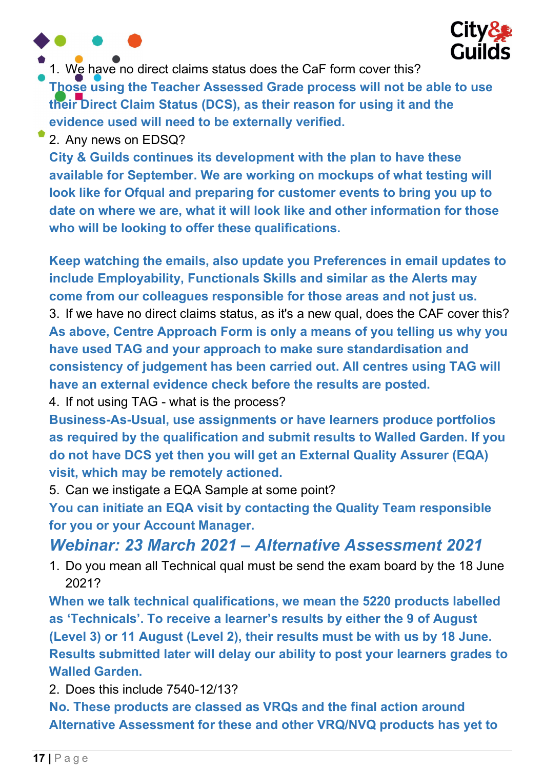



1. We have no direct claims status does the CaF form cover this?

Those using the Teacher Assessed Grade process will not be able to use their Direct Claim Status (DCS), as their reason for using it and the evidence used will need to be externally verified.

2. Any news on EDSQ?

City & Guilds continues its development with the plan to have these available for September. We are working on mockups of what testing will look like for Ofqual and preparing for customer events to bring you up to date on where we are, what it will look like and other information for those who will be looking to offer these qualifications.

Keep watching the emails, also update you Preferences in email updates to include Employability, Functionals Skills and similar as the Alerts may come from our colleagues responsible for those areas and not just us. 3. If we have no direct claims status, as it's a new qual, does the CAF cover this? As above, Centre Approach Form is only a means of you telling us why you have used TAG and your approach to make sure standardisation and consistency of judgement has been carried out. All centres using TAG will have an external evidence check before the results are posted.

4. If not using TAG - what is the process?

Business-As-Usual, use assignments or have learners produce portfolios as required by the qualification and submit results to Walled Garden. If you do not have DCS yet then you will get an External Quality Assurer (EQA) visit, which may be remotely actioned.

5. Can we instigate a EQA Sample at some point?

You can initiate an EQA visit by contacting the Quality Team responsible for you or your Account Manager.

### Webinar: 23 March 2021 – Alternative Assessment 2021

1. Do you mean all Technical qual must be send the exam board by the 18 June 2021?

When we talk technical qualifications, we mean the 5220 products labelled as 'Technicals'. To receive a learner's results by either the 9 of August (Level 3) or 11 August (Level 2), their results must be with us by 18 June. Results submitted later will delay our ability to post your learners grades to Walled Garden.

2. Does this include 7540-12/13?

No. These products are classed as VRQs and the final action around Alternative Assessment for these and other VRQ/NVQ products has yet to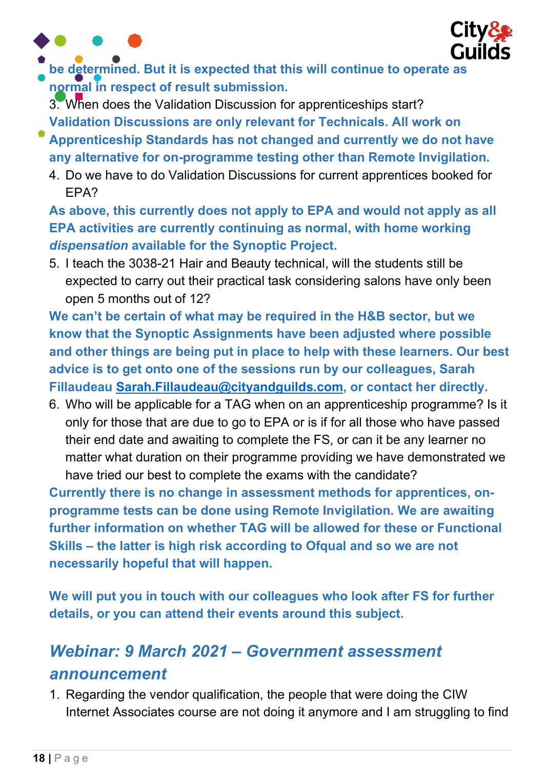



be determined. But it is expected that this will continue to operate as normal in respect of result submission.

3. When does the Validation Discussion for apprenticeships start? Validation Discussions are only relevant for Technicals. All work on

- Apprenticeship Standards has not changed and currently we do not have any alternative for on-programme testing other than Remote Invigilation.
	- 4. Do we have to do Validation Discussions for current apprentices booked for EPA?

As above, this currently does not apply to EPA and would not apply as all EPA activities are currently continuing as normal, with home working dispensation available for the Synoptic Project.

5. I teach the 3038-21 Hair and Beauty technical, will the students still be expected to carry out their practical task considering salons have only been open 5 months out of 12?

We can't be certain of what may be required in the H&B sector, but we know that the Synoptic Assignments have been adjusted where possible and other things are being put in place to help with these learners. Our best advice is to get onto one of the sessions run by our colleagues, Sarah Fillaudeau Sarah.Fillaudeau@cityandguilds.com, or contact her directly.

6. Who will be applicable for a TAG when on an apprenticeship programme? Is it only for those that are due to go to EPA or is if for all those who have passed their end date and awaiting to complete the FS, or can it be any learner no matter what duration on their programme providing we have demonstrated we have tried our best to complete the exams with the candidate?

Currently there is no change in assessment methods for apprentices, onprogramme tests can be done using Remote Invigilation. We are awaiting further information on whether TAG will be allowed for these or Functional Skills – the latter is high risk according to Ofqual and so we are not necessarily hopeful that will happen.

We will put you in touch with our colleagues who look after FS for further details, or you can attend their events around this subject.

# Webinar: 9 March 2021 – Government assessment announcement

1. Regarding the vendor qualification, the people that were doing the CIW Internet Associates course are not doing it anymore and I am struggling to find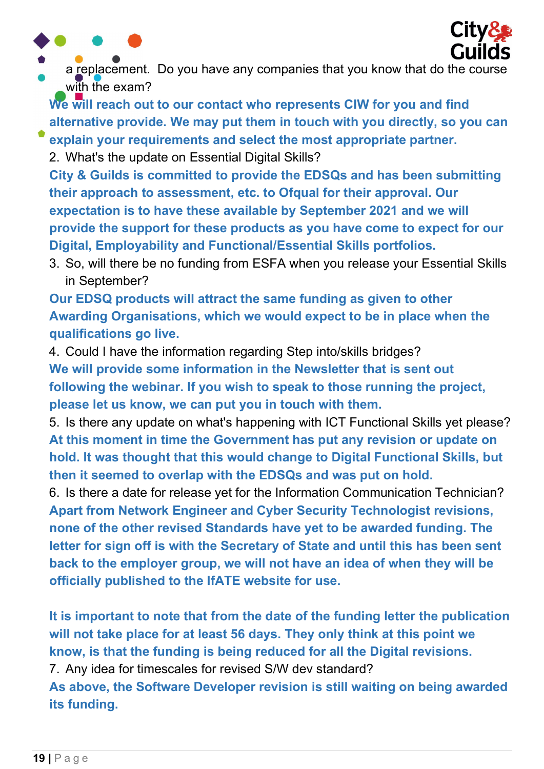



a replacement. Do you have any companies that you know that do the course with the exam?

We will reach out to our contact who represents CIW for you and find alternative provide. We may put them in touch with you directly, so you can

explain your requirements and select the most appropriate partner. 2. What's the update on Essential Digital Skills?

City & Guilds is committed to provide the EDSQs and has been submitting their approach to assessment, etc. to Ofqual for their approval. Our expectation is to have these available by September 2021 and we will provide the support for these products as you have come to expect for our Digital, Employability and Functional/Essential Skills portfolios.

3. So, will there be no funding from ESFA when you release your Essential Skills in September?

Our EDSQ products will attract the same funding as given to other Awarding Organisations, which we would expect to be in place when the qualifications go live.

4. Could I have the information regarding Step into/skills bridges? We will provide some information in the Newsletter that is sent out following the webinar. If you wish to speak to those running the project, please let us know, we can put you in touch with them.

5. Is there any update on what's happening with ICT Functional Skills yet please? At this moment in time the Government has put any revision or update on hold. It was thought that this would change to Digital Functional Skills, but then it seemed to overlap with the EDSQs and was put on hold.

6. Is there a date for release yet for the Information Communication Technician? Apart from Network Engineer and Cyber Security Technologist revisions, none of the other revised Standards have yet to be awarded funding. The letter for sign off is with the Secretary of State and until this has been sent back to the employer group, we will not have an idea of when they will be officially published to the IfATE website for use.

It is important to note that from the date of the funding letter the publication will not take place for at least 56 days. They only think at this point we know, is that the funding is being reduced for all the Digital revisions.

7. Any idea for timescales for revised S/W dev standard?

As above, the Software Developer revision is still waiting on being awarded its funding.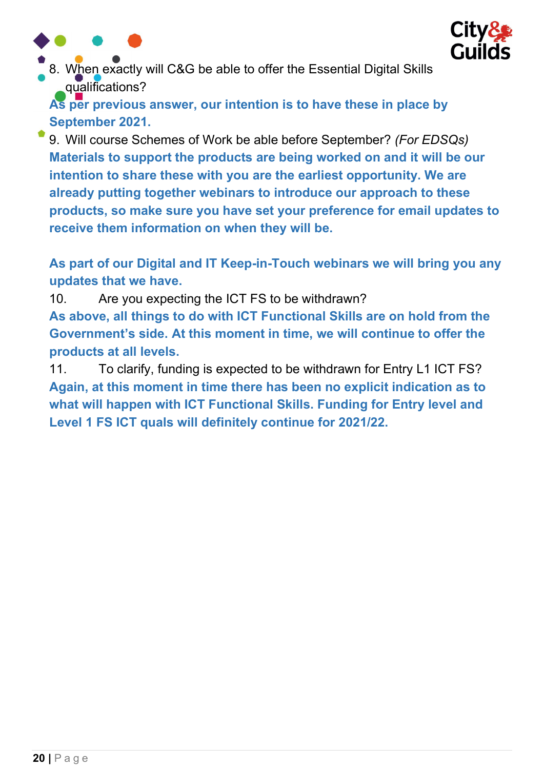



8. When exactly will C&G be able to offer the Essential Digital Skills qualifications?

As per previous answer, our intention is to have these in place by September 2021.

9. Will course Schemes of Work be able before September? (For EDSQs) Materials to support the products are being worked on and it will be our intention to share these with you are the earliest opportunity. We are already putting together webinars to introduce our approach to these products, so make sure you have set your preference for email updates to receive them information on when they will be.

As part of our Digital and IT Keep-in-Touch webinars we will bring you any updates that we have.

10. Are you expecting the ICT FS to be withdrawn? As above, all things to do with ICT Functional Skills are on hold from the Government's side. At this moment in time, we will continue to offer the products at all levels.

11. To clarify, funding is expected to be withdrawn for Entry L1 ICT FS? Again, at this moment in time there has been no explicit indication as to what will happen with ICT Functional Skills. Funding for Entry level and Level 1 FS ICT quals will definitely continue for 2021/22.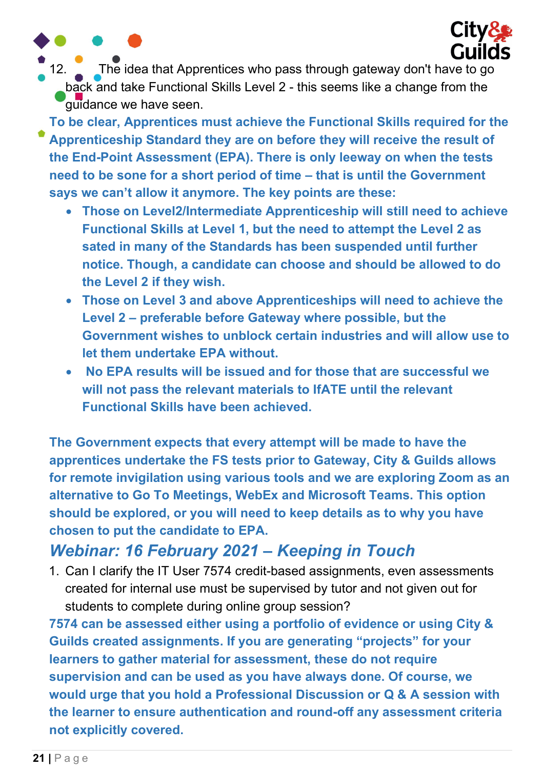

12. The idea that Apprentices who pass through gateway don't have to go back and take Functional Skills Level 2 - this seems like a change from the guidance we have seen.

To be clear, Apprentices must achieve the Functional Skills required for the Apprenticeship Standard they are on before they will receive the result of the End-Point Assessment (EPA). There is only leeway on when the tests need to be sone for a short period of time – that is until the Government says we can't allow it anymore. The key points are these:

- Those on Level2/Intermediate Apprenticeship will still need to achieve Functional Skills at Level 1, but the need to attempt the Level 2 as sated in many of the Standards has been suspended until further notice. Though, a candidate can choose and should be allowed to do the Level 2 if they wish.
- Those on Level 3 and above Apprenticeships will need to achieve the Level 2 – preferable before Gateway where possible, but the Government wishes to unblock certain industries and will allow use to let them undertake EPA without.
- No EPA results will be issued and for those that are successful we will not pass the relevant materials to IfATE until the relevant Functional Skills have been achieved.

The Government expects that every attempt will be made to have the apprentices undertake the FS tests prior to Gateway, City & Guilds allows for remote invigilation using various tools and we are exploring Zoom as an alternative to Go To Meetings, WebEx and Microsoft Teams. This option should be explored, or you will need to keep details as to why you have chosen to put the candidate to EPA.

### Webinar: 16 February 2021 – Keeping in Touch

1. Can I clarify the IT User 7574 credit-based assignments, even assessments created for internal use must be supervised by tutor and not given out for students to complete during online group session?

7574 can be assessed either using a portfolio of evidence or using City & Guilds created assignments. If you are generating "projects" for your learners to gather material for assessment, these do not require supervision and can be used as you have always done. Of course, we would urge that you hold a Professional Discussion or Q & A session with the learner to ensure authentication and round-off any assessment criteria not explicitly covered.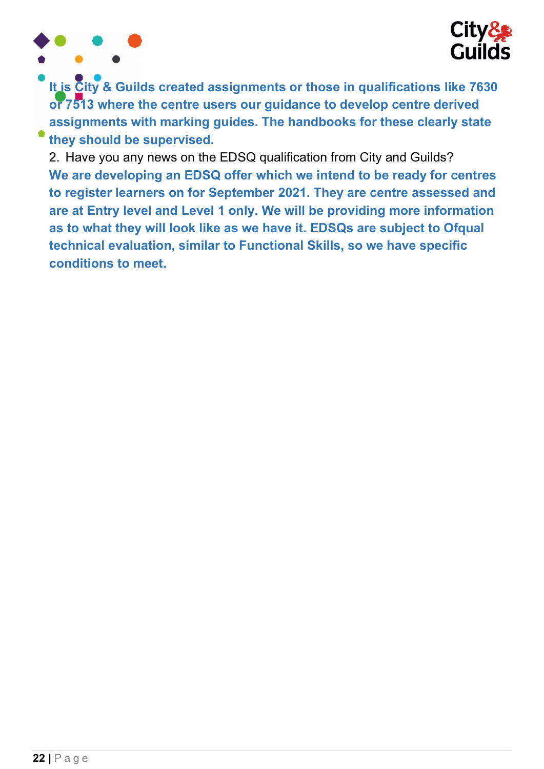

It is City & Guilds created assignments or those in qualifications like 7630 or 7513 where the centre users our guidance to develop centre derived assignments with marking guides. The handbooks for these clearly state they should be supervised.

2. Have you any news on the EDSQ qualification from City and Guilds? We are developing an EDSQ offer which we intend to be ready for centres to register learners on for September 2021. They are centre assessed and are at Entry level and Level 1 only. We will be providing more information as to what they will look like as we have it. EDSQs are subject to Ofqual technical evaluation, similar to Functional Skills, so we have specific conditions to meet.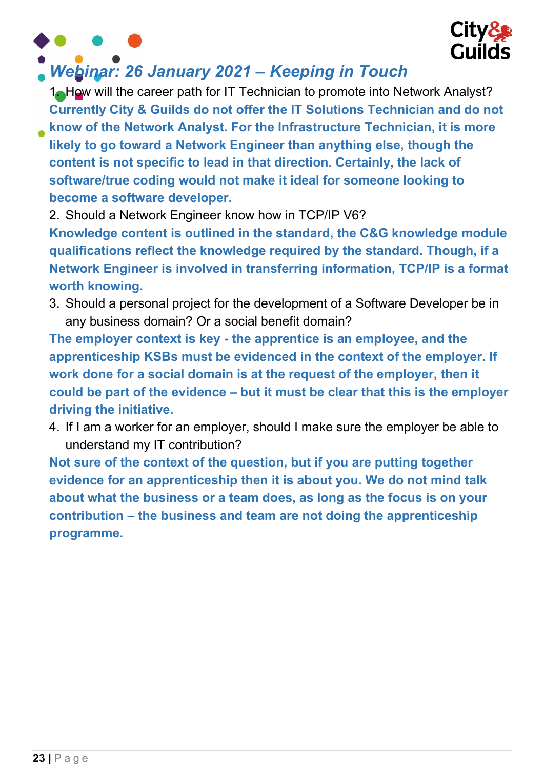



### Webinar: 26 January 2021 – Keeping in Touch

1. How will the career path for IT Technician to promote into Network Analyst? Currently City & Guilds do not offer the IT Solutions Technician and do not

know of the Network Analyst. For the Infrastructure Technician, it is more likely to go toward a Network Engineer than anything else, though the content is not specific to lead in that direction. Certainly, the lack of software/true coding would not make it ideal for someone looking to become a software developer.

2. Should a Network Engineer know how in TCP/IP V6?

Knowledge content is outlined in the standard, the C&G knowledge module qualifications reflect the knowledge required by the standard. Though, if a Network Engineer is involved in transferring information, TCP/IP is a format worth knowing.

3. Should a personal project for the development of a Software Developer be in any business domain? Or a social benefit domain?

The employer context is key - the apprentice is an employee, and the apprenticeship KSBs must be evidenced in the context of the employer. If work done for a social domain is at the request of the employer, then it could be part of the evidence – but it must be clear that this is the employer driving the initiative.

4. If I am a worker for an employer, should I make sure the employer be able to understand my IT contribution?

Not sure of the context of the question, but if you are putting together evidence for an apprenticeship then it is about you. We do not mind talk about what the business or a team does, as long as the focus is on your contribution – the business and team are not doing the apprenticeship programme.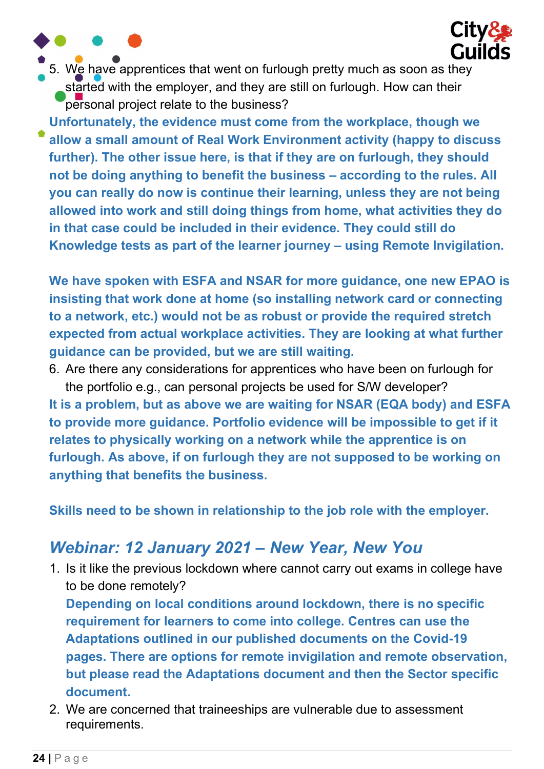5. We have apprentices that went on furlough pretty much as soon as they started with the employer, and they are still on furlough. How can their personal project relate to the business?

**City&** 

**Guilds** 

Unfortunately, the evidence must come from the workplace, though we allow a small amount of Real Work Environment activity (happy to discuss further). The other issue here, is that if they are on furlough, they should not be doing anything to benefit the business – according to the rules. All you can really do now is continue their learning, unless they are not being allowed into work and still doing things from home, what activities they do in that case could be included in their evidence. They could still do Knowledge tests as part of the learner journey – using Remote Invigilation.

We have spoken with ESFA and NSAR for more guidance, one new EPAO is insisting that work done at home (so installing network card or connecting to a network, etc.) would not be as robust or provide the required stretch expected from actual workplace activities. They are looking at what further guidance can be provided, but we are still waiting.

6. Are there any considerations for apprentices who have been on furlough for the portfolio e.g., can personal projects be used for S/W developer? It is a problem, but as above we are waiting for NSAR (EQA body) and ESFA to provide more guidance. Portfolio evidence will be impossible to get if it relates to physically working on a network while the apprentice is on furlough. As above, if on furlough they are not supposed to be working on anything that benefits the business.

Skills need to be shown in relationship to the job role with the employer.

## Webinar: 12 January 2021 – New Year, New You

1. Is it like the previous lockdown where cannot carry out exams in college have to be done remotely?

Depending on local conditions around lockdown, there is no specific requirement for learners to come into college. Centres can use the Adaptations outlined in our published documents on the Covid-19 pages. There are options for remote invigilation and remote observation, but please read the Adaptations document and then the Sector specific document.

2. We are concerned that traineeships are vulnerable due to assessment requirements.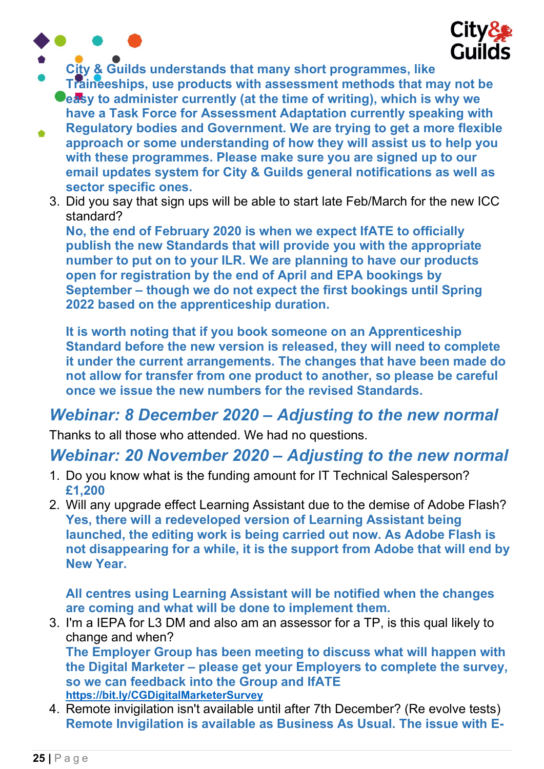



- City & Guilds understands that many short programmes, like
	- Traineeships, use products with assessment methods that may not be **Ceasy to administer currently (at the time of writing), which is why we** have a Task Force for Assessment Adaptation currently speaking with
- Regulatory bodies and Government. We are trying to get a more flexible  $\bullet$ approach or some understanding of how they will assist us to help you with these programmes. Please make sure you are signed up to our email updates system for City & Guilds general notifications as well as sector specific ones.
	- 3. Did you say that sign ups will be able to start late Feb/March for the new ICC standard?

No, the end of February 2020 is when we expect IfATE to officially publish the new Standards that will provide you with the appropriate number to put on to your ILR. We are planning to have our products open for registration by the end of April and EPA bookings by September – though we do not expect the first bookings until Spring 2022 based on the apprenticeship duration.

It is worth noting that if you book someone on an Apprenticeship Standard before the new version is released, they will need to complete it under the current arrangements. The changes that have been made do not allow for transfer from one product to another, so please be careful once we issue the new numbers for the revised Standards.

### Webinar: 8 December 2020 – Adjusting to the new normal

Thanks to all those who attended. We had no questions.

### Webinar: 20 November 2020 – Adjusting to the new normal

- 1. Do you know what is the funding amount for IT Technical Salesperson? £1,200
- 2. Will any upgrade effect Learning Assistant due to the demise of Adobe Flash? Yes, there will a redeveloped version of Learning Assistant being launched, the editing work is being carried out now. As Adobe Flash is not disappearing for a while, it is the support from Adobe that will end by New Year.

All centres using Learning Assistant will be notified when the changes are coming and what will be done to implement them.

3. I'm a IEPA for L3 DM and also am an assessor for a TP, is this qual likely to change and when? The Employer Group has been meeting to discuss what will happen with the Digital Marketer – please get your Employers to complete the survey, so we can feedback into the Group and IfATE

https://bit.ly/CGDigitalMarketerSurvey

4. Remote invigilation isn't available until after 7th December? (Re evolve tests) Remote Invigilation is available as Business As Usual. The issue with E-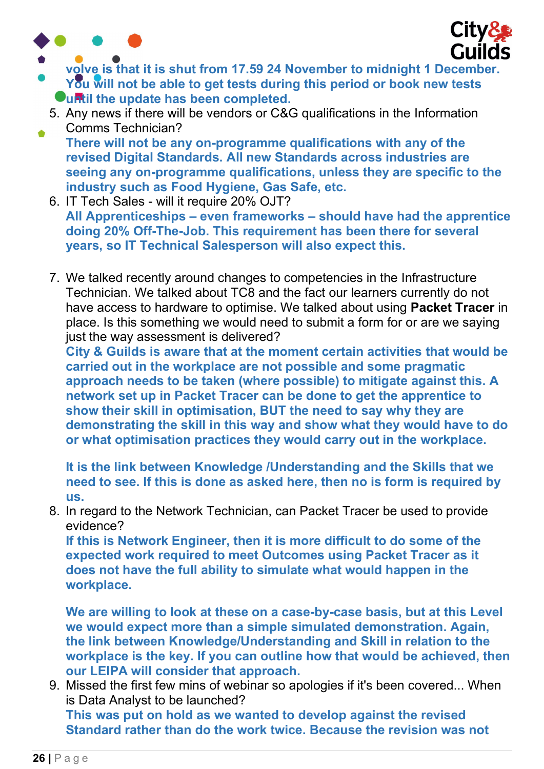

۵



- volve is that it is shut from 17.59 24 November to midnight 1 December. You will not be able to get tests during this period or book new tests Ountil the update has been completed.
	- 5. Any news if there will be vendors or C&G qualifications in the Information Comms Technician?
	- There will not be any on-programme qualifications with any of the revised Digital Standards. All new Standards across industries are seeing any on-programme qualifications, unless they are specific to the industry such as Food Hygiene, Gas Safe, etc.
	- 6. IT Tech Sales will it require 20% OJT? All Apprenticeships – even frameworks – should have had the apprentice doing 20% Off-The-Job. This requirement has been there for several years, so IT Technical Salesperson will also expect this.
	- 7. We talked recently around changes to competencies in the Infrastructure Technician. We talked about TC8 and the fact our learners currently do not have access to hardware to optimise. We talked about using Packet Tracer in place. Is this something we would need to submit a form for or are we saying just the way assessment is delivered?

City & Guilds is aware that at the moment certain activities that would be carried out in the workplace are not possible and some pragmatic approach needs to be taken (where possible) to mitigate against this. A network set up in Packet Tracer can be done to get the apprentice to show their skill in optimisation, BUT the need to say why they are demonstrating the skill in this way and show what they would have to do or what optimisation practices they would carry out in the workplace.

It is the link between Knowledge /Understanding and the Skills that we need to see. If this is done as asked here, then no is form is required by us.

8. In regard to the Network Technician, can Packet Tracer be used to provide evidence?

If this is Network Engineer, then it is more difficult to do some of the expected work required to meet Outcomes using Packet Tracer as it does not have the full ability to simulate what would happen in the workplace.

We are willing to look at these on a case-by-case basis, but at this Level we would expect more than a simple simulated demonstration. Again, the link between Knowledge/Understanding and Skill in relation to the workplace is the key. If you can outline how that would be achieved, then our LEIPA will consider that approach.

9. Missed the first few mins of webinar so apologies if it's been covered... When is Data Analyst to be launched?

This was put on hold as we wanted to develop against the revised Standard rather than do the work twice. Because the revision was not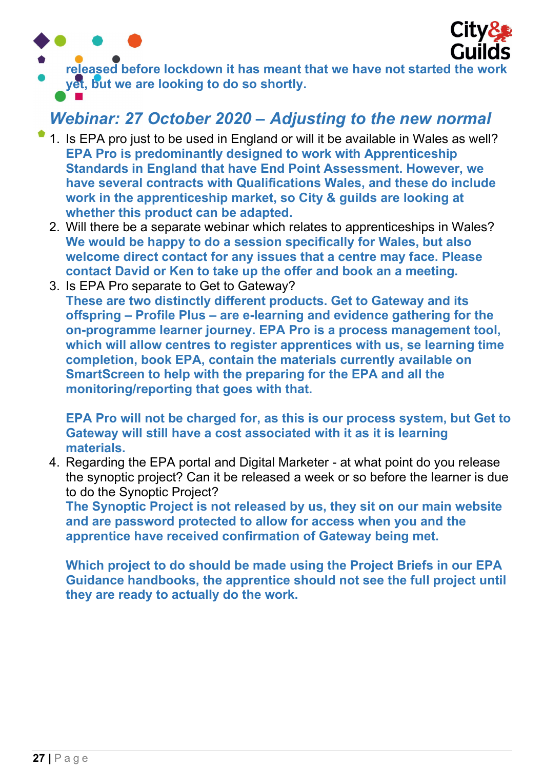



released before lockdown it has meant that we have not started the work yet, but we are looking to do so shortly.

### Webinar: 27 October 2020 – Adjusting to the new normal

- 1. Is EPA pro just to be used in England or will it be available in Wales as well? EPA Pro is predominantly designed to work with Apprenticeship Standards in England that have End Point Assessment. However, we have several contracts with Qualifications Wales, and these do include work in the apprenticeship market, so City & guilds are looking at whether this product can be adapted.
- 2. Will there be a separate webinar which relates to apprenticeships in Wales? We would be happy to do a session specifically for Wales, but also welcome direct contact for any issues that a centre may face. Please contact David or Ken to take up the offer and book an a meeting.
- 3. Is EPA Pro separate to Get to Gateway? These are two distinctly different products. Get to Gateway and its offspring – Profile Plus – are e-learning and evidence gathering for the on-programme learner journey. EPA Pro is a process management tool, which will allow centres to register apprentices with us, se learning time completion, book EPA, contain the materials currently available on SmartScreen to help with the preparing for the EPA and all the monitoring/reporting that goes with that.

EPA Pro will not be charged for, as this is our process system, but Get to Gateway will still have a cost associated with it as it is learning materials.

4. Regarding the EPA portal and Digital Marketer - at what point do you release the synoptic project? Can it be released a week or so before the learner is due to do the Synoptic Project?

The Synoptic Project is not released by us, they sit on our main website and are password protected to allow for access when you and the apprentice have received confirmation of Gateway being met.

Which project to do should be made using the Project Briefs in our EPA Guidance handbooks, the apprentice should not see the full project until they are ready to actually do the work.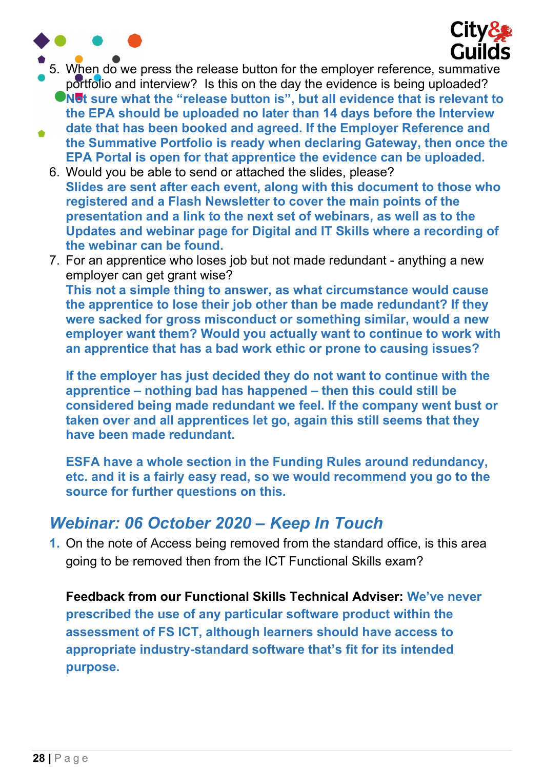



- 5. When do we press the release button for the employer reference, summative portfolio and interview? Is this on the day the evidence is being uploaded?
	- In  $\blacksquare$  what the "release button is", but all evidence that is relevant to the EPA should be uploaded no later than 14 days before the Interview
- date that has been booked and agreed. If the Employer Reference and  $\bullet$ the Summative Portfolio is ready when declaring Gateway, then once the EPA Portal is open for that apprentice the evidence can be uploaded.
	- 6. Would you be able to send or attached the slides, please? Slides are sent after each event, along with this document to those who registered and a Flash Newsletter to cover the main points of the presentation and a link to the next set of webinars, as well as to the Updates and webinar page for Digital and IT Skills where a recording of the webinar can be found.
	- 7. For an apprentice who loses job but not made redundant anything a new employer can get grant wise? This not a simple thing to answer, as what circumstance would cause the apprentice to lose their job other than be made redundant? If they were sacked for gross misconduct or something similar, would a new employer want them? Would you actually want to continue to work with an apprentice that has a bad work ethic or prone to causing issues?

If the employer has just decided they do not want to continue with the apprentice – nothing bad has happened – then this could still be considered being made redundant we feel. If the company went bust or taken over and all apprentices let go, again this still seems that they have been made redundant.

ESFA have a whole section in the Funding Rules around redundancy, etc. and it is a fairly easy read, so we would recommend you go to the source for further questions on this.

#### Webinar: 06 October 2020 – Keep In Touch

1. On the note of Access being removed from the standard office, is this area going to be removed then from the ICT Functional Skills exam?

Feedback from our Functional Skills Technical Adviser: We've never prescribed the use of any particular software product within the assessment of FS ICT, although learners should have access to appropriate industry-standard software that's fit for its intended purpose.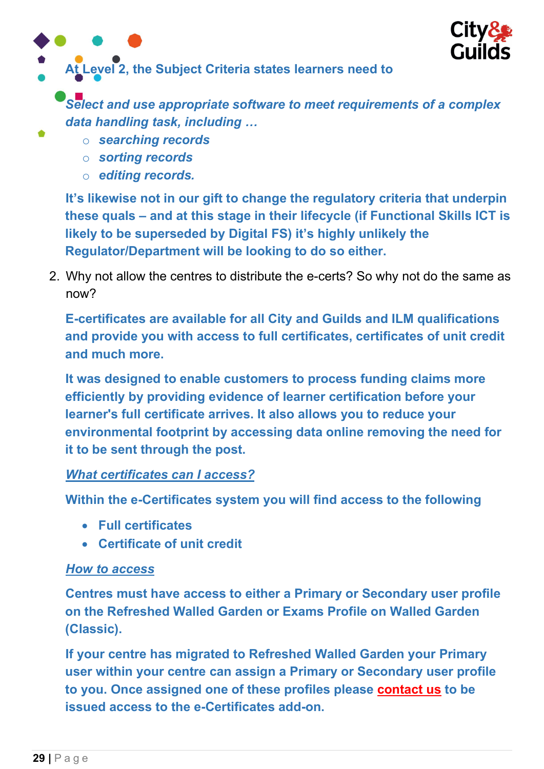

At Level 2, the Subject Criteria states learners need to

Select and use appropriate software to meet requirements of a complex data handling task, including …

- o searching records
- o sorting records
- o editing records.

It's likewise not in our gift to change the regulatory criteria that underpin these quals – and at this stage in their lifecycle (if Functional Skills ICT is likely to be superseded by Digital FS) it's highly unlikely the Regulator/Department will be looking to do so either.

2. Why not allow the centres to distribute the e-certs? So why not do the same as now?

E-certificates are available for all City and Guilds and ILM qualifications and provide you with access to full certificates, certificates of unit credit and much more.

It was designed to enable customers to process funding claims more efficiently by providing evidence of learner certification before your learner's full certificate arrives. It also allows you to reduce your environmental footprint by accessing data online removing the need for it to be sent through the post.

#### What certificates can I access?

Within the e-Certificates system you will find access to the following

- Full certificates
- Certificate of unit credit

#### How to access

Centres must have access to either a Primary or Secondary user profile on the Refreshed Walled Garden or Exams Profile on Walled Garden (Classic).

If your centre has migrated to Refreshed Walled Garden your Primary user within your centre can assign a Primary or Secondary user profile to you. Once assigned one of these profiles please contact us to be issued access to the e-Certificates add-on.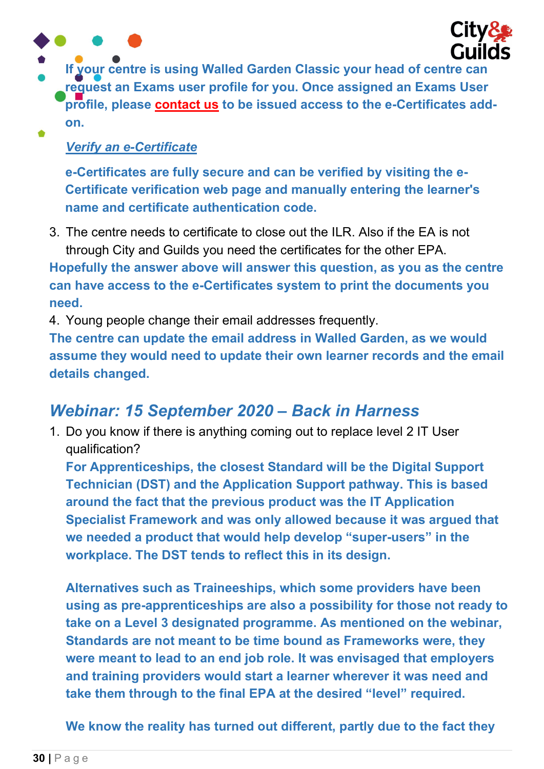

If your centre is using Walled Garden Classic your head of centre can request an Exams user profile for you. Once assigned an Exams User profile, please contact us to be issued access to the e-Certificates addon.  $\bullet$ 

#### Verify an e-Certificate

e-Certificates are fully secure and can be verified by visiting the e-Certificate verification web page and manually entering the learner's name and certificate authentication code.

3. The centre needs to certificate to close out the ILR. Also if the EA is not through City and Guilds you need the certificates for the other EPA.

Hopefully the answer above will answer this question, as you as the centre can have access to the e-Certificates system to print the documents you need.

4. Young people change their email addresses frequently.

The centre can update the email address in Walled Garden, as we would assume they would need to update their own learner records and the email details changed.

#### Webinar: 15 September 2020 – Back in Harness

1. Do you know if there is anything coming out to replace level 2 IT User qualification?

For Apprenticeships, the closest Standard will be the Digital Support Technician (DST) and the Application Support pathway. This is based around the fact that the previous product was the IT Application Specialist Framework and was only allowed because it was argued that we needed a product that would help develop "super-users" in the workplace. The DST tends to reflect this in its design.

Alternatives such as Traineeships, which some providers have been using as pre-apprenticeships are also a possibility for those not ready to take on a Level 3 designated programme. As mentioned on the webinar, Standards are not meant to be time bound as Frameworks were, they were meant to lead to an end job role. It was envisaged that employers and training providers would start a learner wherever it was need and take them through to the final EPA at the desired "level" required.

We know the reality has turned out different, partly due to the fact they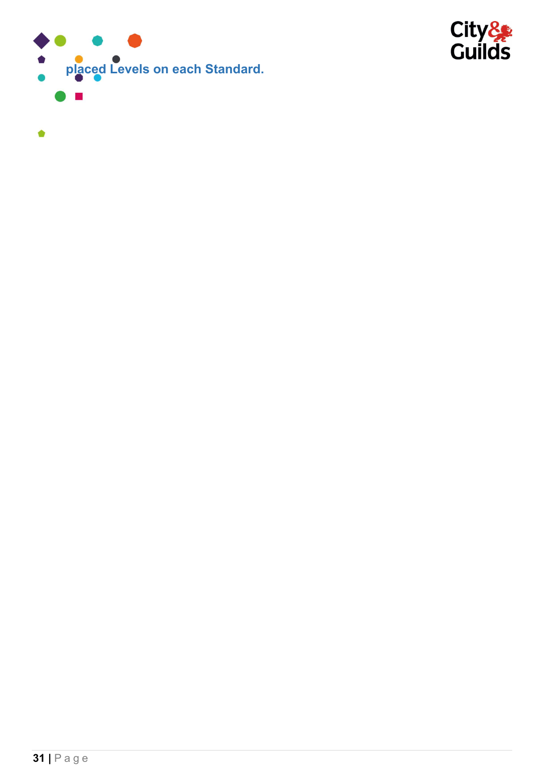

 $\bullet$ 

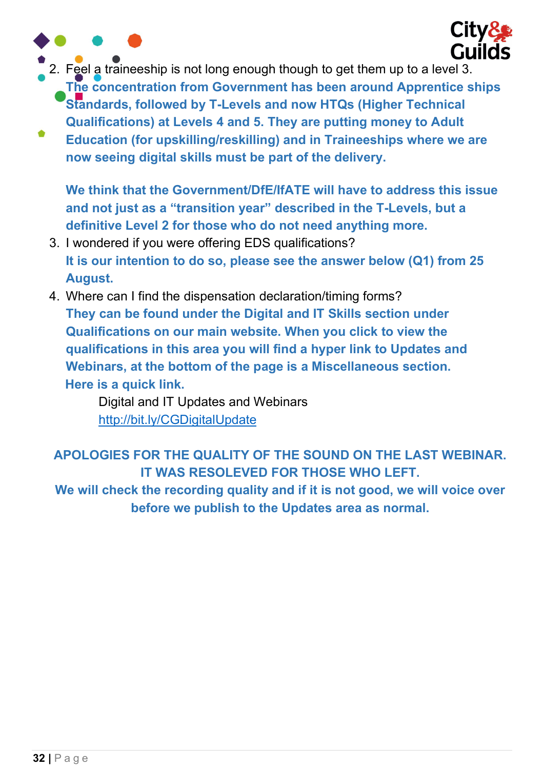

2. Feel a traineeship is not long enough though to get them up to a level 3.

The concentration from Government has been around Apprentice ships Standards, followed by T-Levels and now HTQs (Higher Technical Qualifications) at Levels 4 and 5. They are putting money to Adult

Education (for upskilling/reskilling) and in Traineeships where we are now seeing digital skills must be part of the delivery.

We think that the Government/DfE/IfATE will have to address this issue and not just as a "transition year" described in the T-Levels, but a definitive Level 2 for those who do not need anything more.

- 3. I wondered if you were offering EDS qualifications? It is our intention to do so, please see the answer below (Q1) from 25 August.
- 4. Where can I find the dispensation declaration/timing forms? They can be found under the Digital and IT Skills section under Qualifications on our main website. When you click to view the qualifications in this area you will find a hyper link to Updates and Webinars, at the bottom of the page is a Miscellaneous section. Here is a quick link.

Digital and IT Updates and Webinars http://bit.ly/CGDigitalUpdate

APOLOGIES FOR THE QUALITY OF THE SOUND ON THE LAST WEBINAR. IT WAS RESOLEVED FOR THOSE WHO LEFT.

We will check the recording quality and if it is not good, we will voice over before we publish to the Updates area as normal.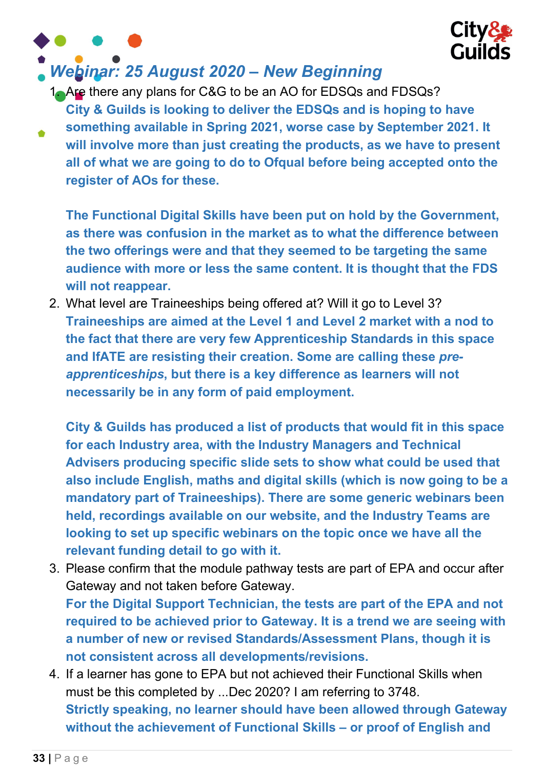

# Webinar: 25 August 2020 – New Beginning

1. Are there any plans for C&G to be an AO for EDSQs and FDSQs? City & Guilds is looking to deliver the EDSQs and is hoping to have something available in Spring 2021, worse case by September 2021. It will involve more than just creating the products, as we have to present all of what we are going to do to Ofqual before being accepted onto the register of AOs for these.

The Functional Digital Skills have been put on hold by the Government, as there was confusion in the market as to what the difference between the two offerings were and that they seemed to be targeting the same audience with more or less the same content. It is thought that the FDS will not reappear.

2. What level are Traineeships being offered at? Will it go to Level 3? Traineeships are aimed at the Level 1 and Level 2 market with a nod to the fact that there are very few Apprenticeship Standards in this space and IfATE are resisting their creation. Some are calling these preapprenticeships, but there is a key difference as learners will not necessarily be in any form of paid employment.

City & Guilds has produced a list of products that would fit in this space for each Industry area, with the Industry Managers and Technical Advisers producing specific slide sets to show what could be used that also include English, maths and digital skills (which is now going to be a mandatory part of Traineeships). There are some generic webinars been held, recordings available on our website, and the Industry Teams are looking to set up specific webinars on the topic once we have all the relevant funding detail to go with it.

3. Please confirm that the module pathway tests are part of EPA and occur after Gateway and not taken before Gateway.

For the Digital Support Technician, the tests are part of the EPA and not required to be achieved prior to Gateway. It is a trend we are seeing with a number of new or revised Standards/Assessment Plans, though it is not consistent across all developments/revisions.

4. If a learner has gone to EPA but not achieved their Functional Skills when must be this completed by ...Dec 2020? I am referring to 3748. Strictly speaking, no learner should have been allowed through Gateway without the achievement of Functional Skills – or proof of English and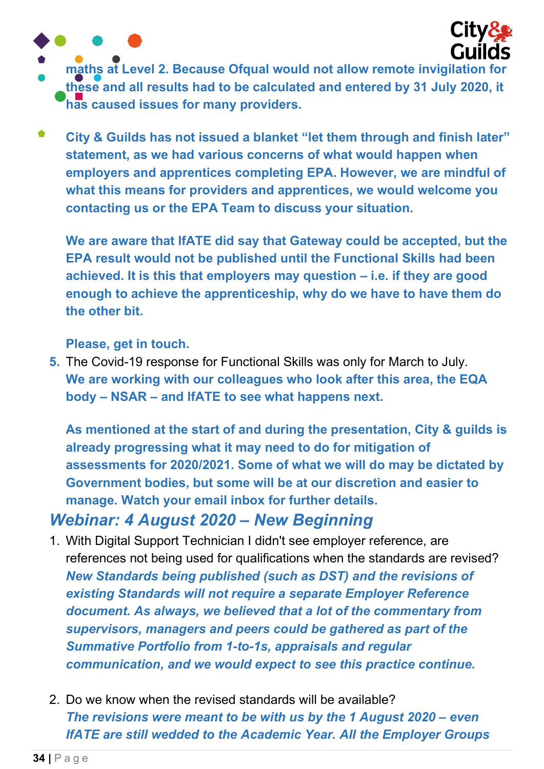

- maths at Level 2. Because Ofqual would not allow remote invigilation for these and all results had to be calculated and entered by 31 July 2020, it has caused issues for many providers.
- $\bullet$ City & Guilds has not issued a blanket "let them through and finish later" statement, as we had various concerns of what would happen when employers and apprentices completing EPA. However, we are mindful of what this means for providers and apprentices, we would welcome you contacting us or the EPA Team to discuss your situation.

We are aware that IfATE did say that Gateway could be accepted, but the EPA result would not be published until the Functional Skills had been achieved. It is this that employers may question – i.e. if they are good enough to achieve the apprenticeship, why do we have to have them do the other bit.

Please, get in touch.

5. The Covid-19 response for Functional Skills was only for March to July. We are working with our colleagues who look after this area, the EQA body – NSAR – and IfATE to see what happens next.

As mentioned at the start of and during the presentation, City & guilds is already progressing what it may need to do for mitigation of assessments for 2020/2021. Some of what we will do may be dictated by Government bodies, but some will be at our discretion and easier to manage. Watch your email inbox for further details.

### Webinar: 4 August 2020 – New Beginning

- 1. With Digital Support Technician I didn't see employer reference, are references not being used for qualifications when the standards are revised? New Standards being published (such as DST) and the revisions of existing Standards will not require a separate Employer Reference document. As always, we believed that a lot of the commentary from supervisors, managers and peers could be gathered as part of the Summative Portfolio from 1-to-1s, appraisals and regular communication, and we would expect to see this practice continue.
- 2. Do we know when the revised standards will be available? The revisions were meant to be with us by the 1 August 2020 – even IfATE are still wedded to the Academic Year. All the Employer Groups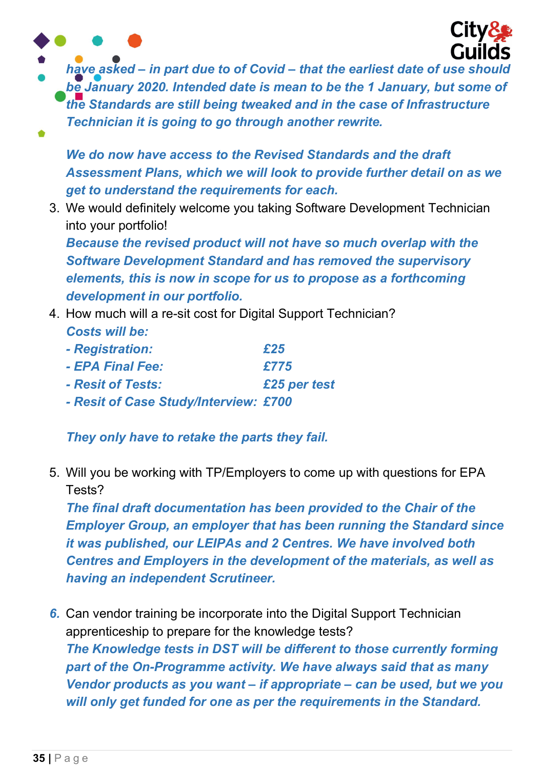

have asked – in part due to of Covid – that the earliest date of use should be January 2020. Intended date is mean to be the 1 January, but some of the Standards are still being tweaked and in the case of Infrastructure Technician it is going to go through another rewrite.

We do now have access to the Revised Standards and the draft Assessment Plans, which we will look to provide further detail on as we get to understand the requirements for each.

3. We would definitely welcome you taking Software Development Technician into your portfolio!

Because the revised product will not have so much overlap with the Software Development Standard and has removed the supervisory elements, this is now in scope for us to propose as a forthcoming development in our portfolio.

- 4. How much will a re-sit cost for Digital Support Technician? Costs will be:
	- Registration:  $£25$
	- $-$  FPA Final Fee:  $\sqrt{775}$
	- Resit of Tests: £25 per test
	- Resit of Case Study/Interview: £700

They only have to retake the parts they fail.

5. Will you be working with TP/Employers to come up with questions for EPA Tests?

The final draft documentation has been provided to the Chair of the Employer Group, an employer that has been running the Standard since it was published, our LEIPAs and 2 Centres. We have involved both Centres and Employers in the development of the materials, as well as having an independent Scrutineer.

6. Can vendor training be incorporate into the Digital Support Technician apprenticeship to prepare for the knowledge tests? The Knowledge tests in DST will be different to those currently forming part of the On-Programme activity. We have always said that as many Vendor products as you want – if appropriate – can be used, but we you will only get funded for one as per the requirements in the Standard.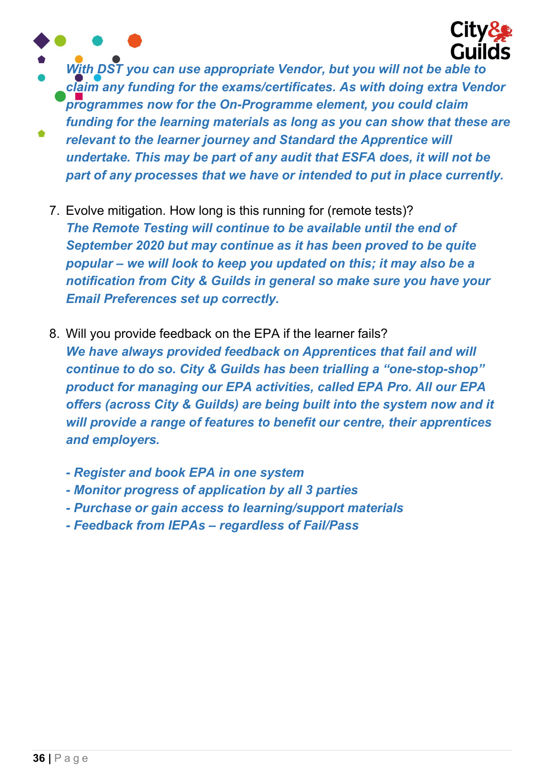



- With DST you can use appropriate Vendor, but you will not be able to claim any funding for the exams/certificates. As with doing extra Vendor programmes now for the On-Programme element, you could claim funding for the learning materials as long as you can show that these are relevant to the learner journey and Standard the Apprentice will undertake. This may be part of any audit that ESFA does, it will not be
	- part of any processes that we have or intended to put in place currently.
	- 7. Evolve mitigation. How long is this running for (remote tests)? The Remote Testing will continue to be available until the end of September 2020 but may continue as it has been proved to be quite popular – we will look to keep you updated on this; it may also be a notification from City & Guilds in general so make sure you have your Email Preferences set up correctly.
	- 8. Will you provide feedback on the EPA if the learner fails? We have always provided feedback on Apprentices that fail and will continue to do so. City & Guilds has been trialling a "one-stop-shop" product for managing our EPA activities, called EPA Pro. All our EPA offers (across City & Guilds) are being built into the system now and it will provide a range of features to benefit our centre, their apprentices and employers.
		- Register and book EPA in one system
		- Monitor progress of application by all 3 parties
		- Purchase or gain access to learning/support materials
		- Feedback from IEPAs regardless of Fail/Pass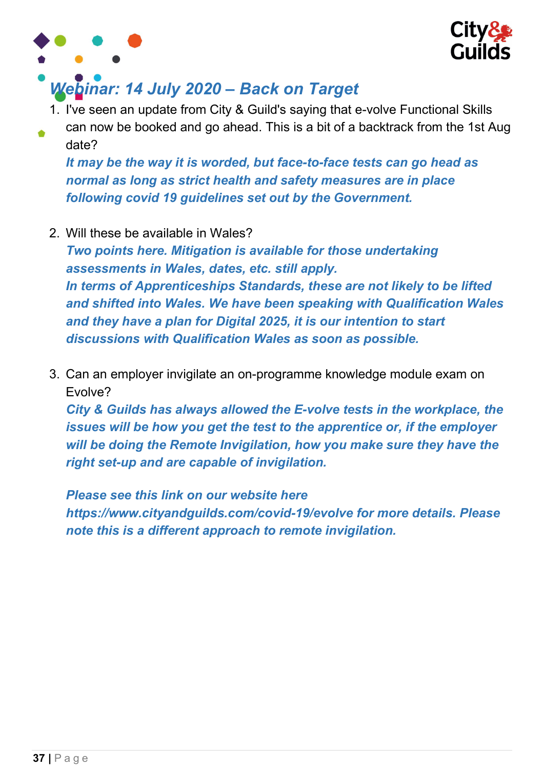



# Webinar: 14 July 2020 – Back on Target

- 1. I've seen an update from City & Guild's saying that e-volve Functional Skills
- can now be booked and go ahead. This is a bit of a backtrack from the 1st Aug date?

It may be the way it is worded, but face-to-face tests can go head as normal as long as strict health and safety measures are in place following covid 19 guidelines set out by the Government.

2. Will these be available in Wales?

Two points here. Mitigation is available for those undertaking assessments in Wales, dates, etc. still apply. In terms of Apprenticeships Standards, these are not likely to be lifted and shifted into Wales. We have been speaking with Qualification Wales and they have a plan for Digital 2025, it is our intention to start discussions with Qualification Wales as soon as possible.

3. Can an employer invigilate an on-programme knowledge module exam on Evolve?

City & Guilds has always allowed the E-volve tests in the workplace, the issues will be how you get the test to the apprentice or, if the employer will be doing the Remote Invigilation, how you make sure they have the right set-up and are capable of invigilation.

Please see this link on our website here https://www.cityandguilds.com/covid-19/evolve for more details. Please note this is a different approach to remote invigilation.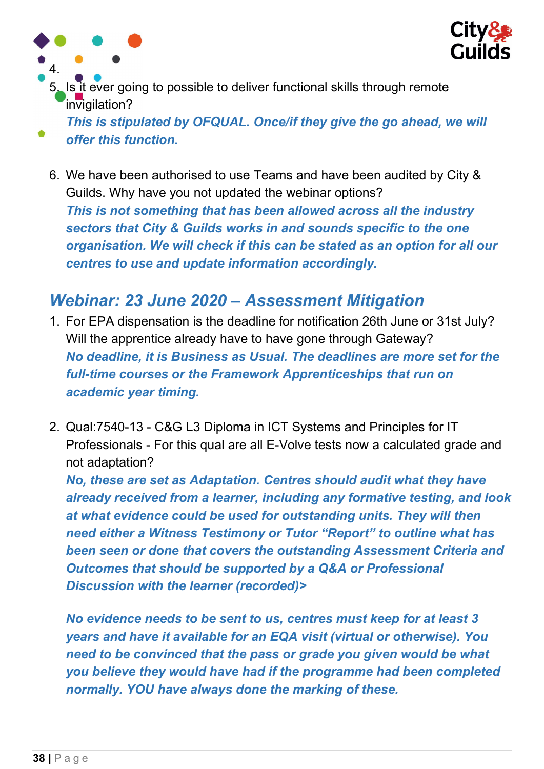

5. Is it ever going to possible to deliver functional skills through remote invigilation?

This is stipulated by OFQUAL. Once/if they give the go ahead, we will offer this function.

6. We have been authorised to use Teams and have been audited by City & Guilds. Why have you not updated the webinar options? This is not something that has been allowed across all the industry sectors that City & Guilds works in and sounds specific to the one organisation. We will check if this can be stated as an option for all our centres to use and update information accordingly.

### Webinar: 23 June 2020 – Assessment Mitigation

- 1. For EPA dispensation is the deadline for notification 26th June or 31st July? Will the apprentice already have to have gone through Gateway? No deadline, it is Business as Usual. The deadlines are more set for the full-time courses or the Framework Apprenticeships that run on academic year timing.
- 2. Qual:7540-13 C&G L3 Diploma in ICT Systems and Principles for IT Professionals - For this qual are all E-Volve tests now a calculated grade and not adaptation?

No, these are set as Adaptation. Centres should audit what they have already received from a learner, including any formative testing, and look at what evidence could be used for outstanding units. They will then need either a Witness Testimony or Tutor "Report" to outline what has been seen or done that covers the outstanding Assessment Criteria and Outcomes that should be supported by a Q&A or Professional Discussion with the learner (recorded)>

No evidence needs to be sent to us, centres must keep for at least 3 years and have it available for an EQA visit (virtual or otherwise). You need to be convinced that the pass or grade you given would be what you believe they would have had if the programme had been completed normally. YOU have always done the marking of these.

4.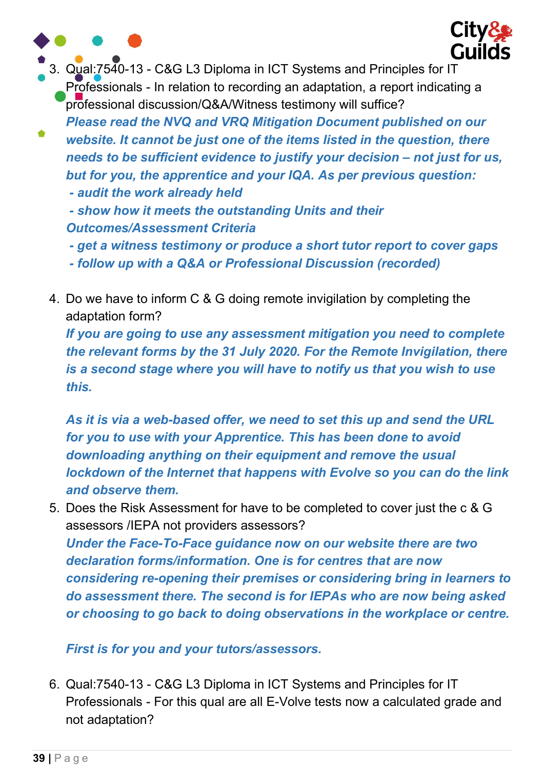

- get a witness testimony or produce a short tutor report to cover gaps

- follow up with a Q&A or Professional Discussion (recorded)
- 4. Do we have to inform C & G doing remote invigilation by completing the adaptation form?

If you are going to use any assessment mitigation you need to complete the relevant forms by the 31 July 2020. For the Remote Invigilation, there is a second stage where you will have to notify us that you wish to use this.

As it is via a web-based offer, we need to set this up and send the URL for you to use with your Apprentice. This has been done to avoid downloading anything on their equipment and remove the usual lockdown of the Internet that happens with Evolve so you can do the link and observe them.

5. Does the Risk Assessment for have to be completed to cover just the c & G assessors /IEPA not providers assessors?

Under the Face-To-Face guidance now on our website there are two declaration forms/information. One is for centres that are now considering re-opening their premises or considering bring in learners to do assessment there. The second is for IEPAs who are now being asked or choosing to go back to doing observations in the workplace or centre.

#### First is for you and your tutors/assessors.

6. Qual:7540-13 - C&G L3 Diploma in ICT Systems and Principles for IT Professionals - For this qual are all E-Volve tests now a calculated grade and not adaptation?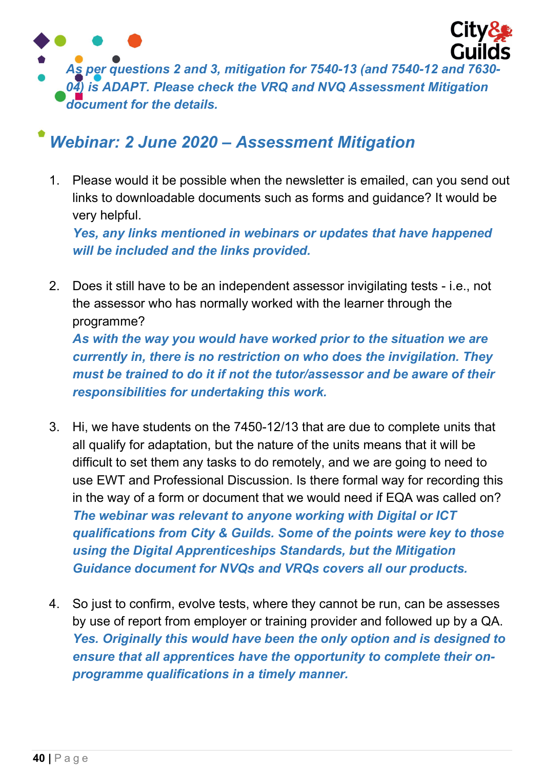

### Webinar: 2 June 2020 – Assessment Mitigation

1. Please would it be possible when the newsletter is emailed, can you send out links to downloadable documents such as forms and guidance? It would be very helpful.

Yes, any links mentioned in webinars or updates that have happened will be included and the links provided.

- 2. Does it still have to be an independent assessor invigilating tests i.e., not the assessor who has normally worked with the learner through the programme? As with the way you would have worked prior to the situation we are currently in, there is no restriction on who does the invigilation. They must be trained to do it if not the tutor/assessor and be aware of their responsibilities for undertaking this work.
- 3. Hi, we have students on the 7450-12/13 that are due to complete units that all qualify for adaptation, but the nature of the units means that it will be difficult to set them any tasks to do remotely, and we are going to need to use EWT and Professional Discussion. Is there formal way for recording this in the way of a form or document that we would need if EQA was called on? The webinar was relevant to anyone working with Digital or ICT qualifications from City & Guilds. Some of the points were key to those using the Digital Apprenticeships Standards, but the Mitigation Guidance document for NVQs and VRQs covers all our products.
- 4. So just to confirm, evolve tests, where they cannot be run, can be assesses by use of report from employer or training provider and followed up by a QA. Yes. Originally this would have been the only option and is designed to ensure that all apprentices have the opportunity to complete their onprogramme qualifications in a timely manner.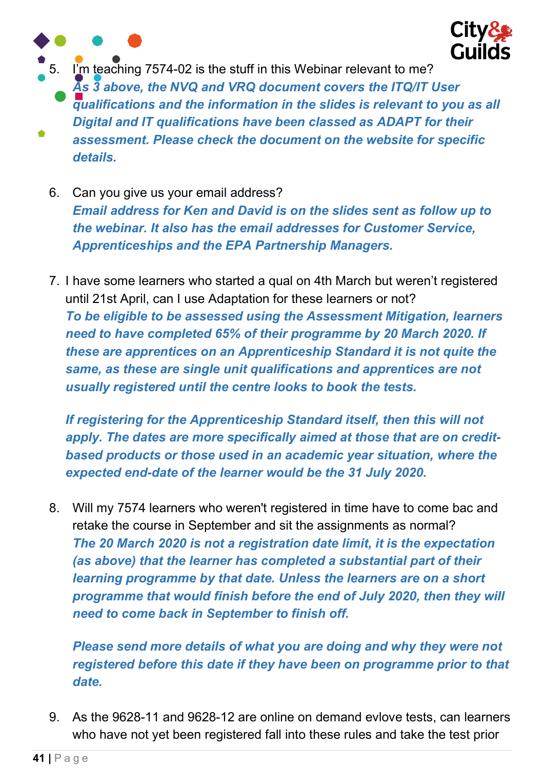

5. I'm teaching 7574-02 is the stuff in this Webinar relevant to me? As 3 above, the NVQ and VRQ document covers the ITQ/IT User qualifications and the information in the slides is relevant to you as all Digital and IT qualifications have been classed as ADAPT for their assessment. Please check the document on the website for specific details.

- 6. Can you give us your email address? Email address for Ken and David is on the slides sent as follow up to the webinar. It also has the email addresses for Customer Service, Apprenticeships and the EPA Partnership Managers.
- 7. I have some learners who started a qual on 4th March but weren't registered until 21st April, can I use Adaptation for these learners or not? To be eligible to be assessed using the Assessment Mitigation, learners need to have completed 65% of their programme by 20 March 2020. If these are apprentices on an Apprenticeship Standard it is not quite the same, as these are single unit qualifications and apprentices are not usually registered until the centre looks to book the tests.

If registering for the Apprenticeship Standard itself, then this will not apply. The dates are more specifically aimed at those that are on creditbased products or those used in an academic year situation, where the expected end-date of the learner would be the 31 July 2020.

8. Will my 7574 learners who weren't registered in time have to come bac and retake the course in September and sit the assignments as normal? The 20 March 2020 is not a registration date limit, it is the expectation (as above) that the learner has completed a substantial part of their learning programme by that date. Unless the learners are on a short programme that would finish before the end of July 2020, then they will need to come back in September to finish off.

Please send more details of what you are doing and why they were not registered before this date if they have been on programme prior to that date.

9. As the 9628-11 and 9628-12 are online on demand evlove tests, can learners who have not yet been registered fall into these rules and take the test prior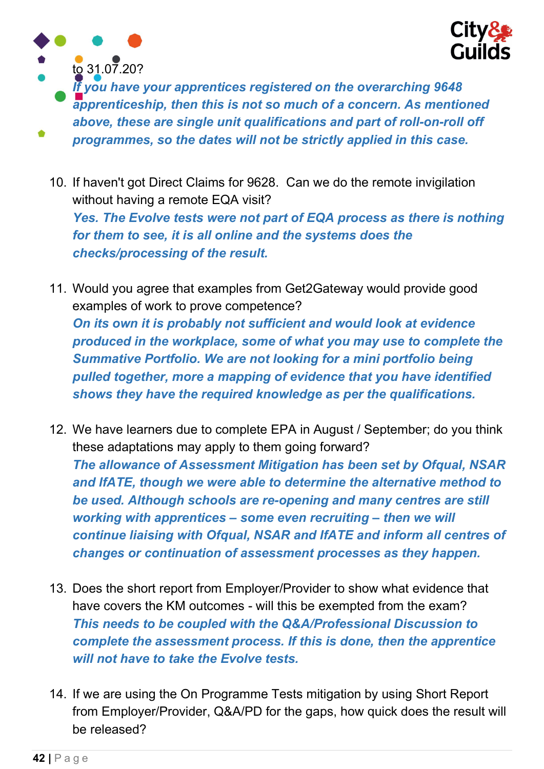



If you have your apprentices registered on the overarching 9648 apprenticeship, then this is not so much of a concern. As mentioned above, these are single unit qualifications and part of roll-on-roll off programmes, so the dates will not be strictly applied in this case.

- 10. If haven't got Direct Claims for 9628. Can we do the remote invigilation without having a remote EQA visit? Yes. The Evolve tests were not part of EQA process as there is nothing for them to see, it is all online and the systems does the checks/processing of the result.
- 11. Would you agree that examples from Get2Gateway would provide good examples of work to prove competence? On its own it is probably not sufficient and would look at evidence produced in the workplace, some of what you may use to complete the Summative Portfolio. We are not looking for a mini portfolio being pulled together, more a mapping of evidence that you have identified shows they have the required knowledge as per the qualifications.
- 12. We have learners due to complete EPA in August / September; do you think these adaptations may apply to them going forward? The allowance of Assessment Mitigation has been set by Ofqual, NSAR and IfATE, though we were able to determine the alternative method to be used. Although schools are re-opening and many centres are still working with apprentices – some even recruiting – then we will continue liaising with Ofqual, NSAR and IfATE and inform all centres of changes or continuation of assessment processes as they happen.
- 13. Does the short report from Employer/Provider to show what evidence that have covers the KM outcomes - will this be exempted from the exam? This needs to be coupled with the Q&A/Professional Discussion to complete the assessment process. If this is done, then the apprentice will not have to take the Evolve tests.
- 14. If we are using the On Programme Tests mitigation by using Short Report from Employer/Provider, Q&A/PD for the gaps, how quick does the result will be released?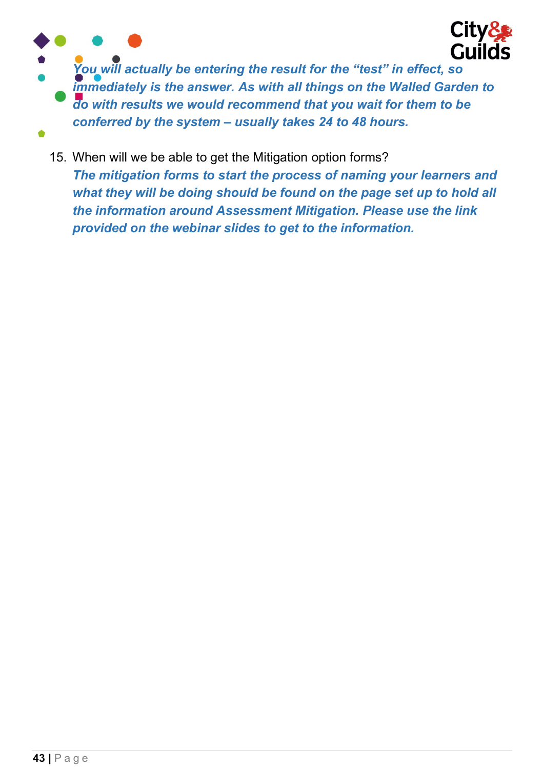

You will actually be entering the result for the "test" in effect, so immediately is the answer. As with all things on the Walled Garden to do with results we would recommend that you wait for them to be conferred by the system – usually takes 24 to 48 hours.

15. When will we be able to get the Mitigation option forms? The mitigation forms to start the process of naming your learners and what they will be doing should be found on the page set up to hold all the information around Assessment Mitigation. Please use the link provided on the webinar slides to get to the information.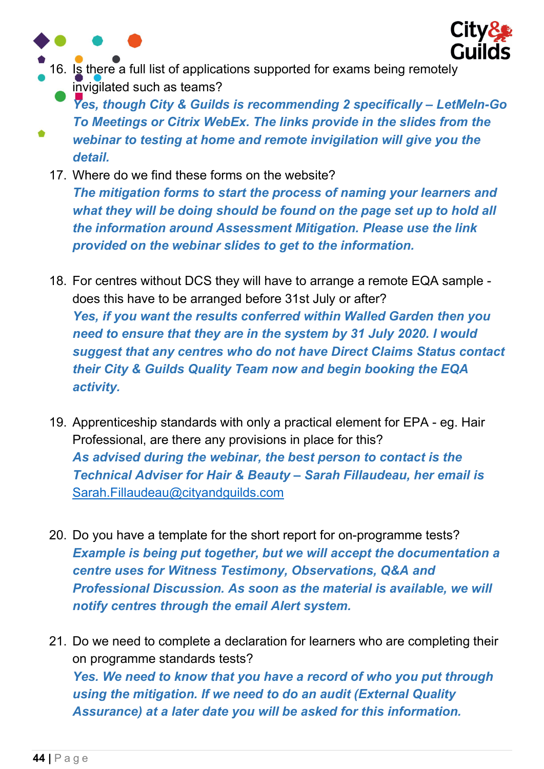



- 16. Is there a full list of applications supported for exams being remotely invigilated such as teams?
	- Yes, though City & Guilds is recommending 2 specifically LetMeln-Go To Meetings or Citrix WebEx. The links provide in the slides from the webinar to testing at home and remote invigilation will give you the detail.
	- 17. Where do we find these forms on the website? The mitigation forms to start the process of naming your learners and what they will be doing should be found on the page set up to hold all the information around Assessment Mitigation. Please use the link provided on the webinar slides to get to the information.
	- 18. For centres without DCS they will have to arrange a remote EQA sample does this have to be arranged before 31st July or after? Yes, if you want the results conferred within Walled Garden then you need to ensure that they are in the system by 31 July 2020. I would suggest that any centres who do not have Direct Claims Status contact their City & Guilds Quality Team now and begin booking the EQA activity.
	- 19. Apprenticeship standards with only a practical element for EPA eg. Hair Professional, are there any provisions in place for this? As advised during the webinar, the best person to contact is the Technical Adviser for Hair & Beauty – Sarah Fillaudeau, her email is Sarah.Fillaudeau@cityandguilds.com
	- 20. Do you have a template for the short report for on-programme tests? Example is being put together, but we will accept the documentation a centre uses for Witness Testimony, Observations, Q&A and Professional Discussion. As soon as the material is available, we will notify centres through the email Alert system.
	- 21. Do we need to complete a declaration for learners who are completing their on programme standards tests? Yes. We need to know that you have a record of who you put through using the mitigation. If we need to do an audit (External Quality Assurance) at a later date you will be asked for this information.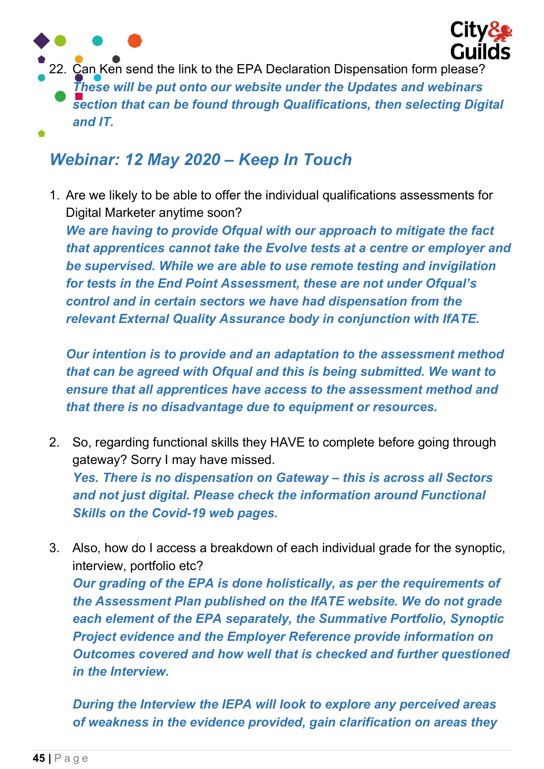

22. Can Ken send the link to the EPA Declaration Dispensation form please? These will be put onto our website under the Updates and webinars section that can be found through Qualifications, then selecting Digital and IT.

### Webinar: 12 May 2020 – Keep In Touch

1. Are we likely to be able to offer the individual qualifications assessments for Digital Marketer anytime soon?

We are having to provide Ofqual with our approach to mitigate the fact that apprentices cannot take the Evolve tests at a centre or employer and be supervised. While we are able to use remote testing and invigilation for tests in the End Point Assessment, these are not under Ofqual's control and in certain sectors we have had dispensation from the relevant External Quality Assurance body in conjunction with IfATE.

Our intention is to provide and an adaptation to the assessment method that can be agreed with Ofqual and this is being submitted. We want to ensure that all apprentices have access to the assessment method and that there is no disadvantage due to equipment or resources.

- 2. So, regarding functional skills they HAVE to complete before going through gateway? Sorry I may have missed. Yes. There is no dispensation on Gateway – this is across all Sectors and not just digital. Please check the information around Functional Skills on the Covid-19 web pages.
- 3. Also, how do I access a breakdown of each individual grade for the synoptic, interview, portfolio etc? Our grading of the EPA is done holistically, as per the requirements of the Assessment Plan published on the IfATE website. We do not grade each element of the EPA separately, the Summative Portfolio, Synoptic Project evidence and the Employer Reference provide information on Outcomes covered and how well that is checked and further questioned in the Interview.

During the Interview the IEPA will look to explore any perceived areas of weakness in the evidence provided, gain clarification on areas they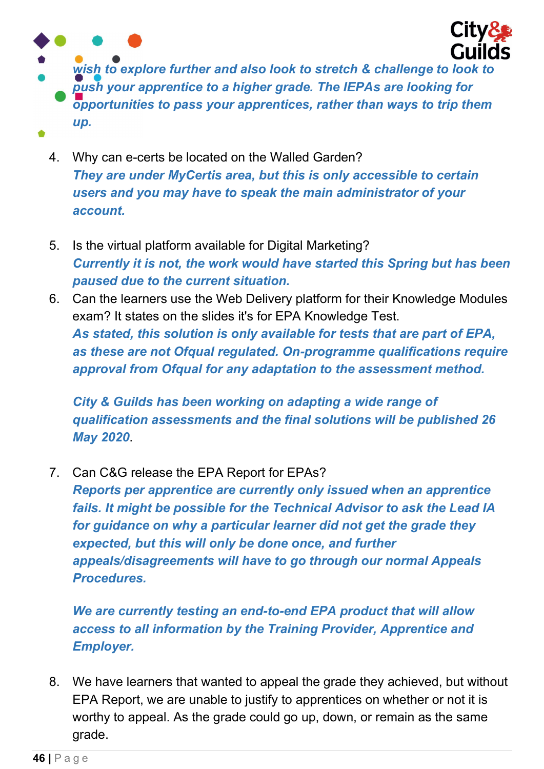

wish to explore further and also look to stretch & challenge to look to push your apprentice to a higher grade. The IEPAs are looking for opportunities to pass your apprentices, rather than ways to trip them up.

- 4. Why can e-certs be located on the Walled Garden? They are under MyCertis area, but this is only accessible to certain users and you may have to speak the main administrator of your account.
- 5. Is the virtual platform available for Digital Marketing? Currently it is not, the work would have started this Spring but has been paused due to the current situation.
- 6. Can the learners use the Web Delivery platform for their Knowledge Modules exam? It states on the slides it's for EPA Knowledge Test. As stated, this solution is only available for tests that are part of EPA, as these are not Ofqual regulated. On-programme qualifications require approval from Ofqual for any adaptation to the assessment method.

City & Guilds has been working on adapting a wide range of qualification assessments and the final solutions will be published 26 May 2020.

7. Can C&G release the EPA Report for EPAs?

Reports per apprentice are currently only issued when an apprentice fails. It might be possible for the Technical Advisor to ask the Lead IA for guidance on why a particular learner did not get the grade they expected, but this will only be done once, and further appeals/disagreements will have to go through our normal Appeals Procedures.

We are currently testing an end-to-end EPA product that will allow access to all information by the Training Provider, Apprentice and Employer.

8. We have learners that wanted to appeal the grade they achieved, but without EPA Report, we are unable to justify to apprentices on whether or not it is worthy to appeal. As the grade could go up, down, or remain as the same grade.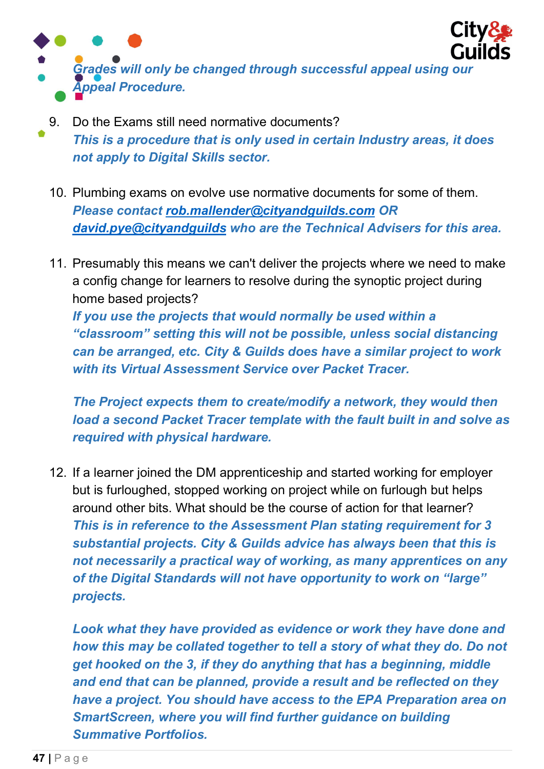

- 9. Do the Exams still need normative documents? This is a procedure that is only used in certain Industry areas, it does not apply to Digital Skills sector.
	- 10. Plumbing exams on evolve use normative documents for some of them. Please contact rob.mallender@cityandguilds.com OR david.pye@cityandguilds who are the Technical Advisers for this area.
	- 11. Presumably this means we can't deliver the projects where we need to make a config change for learners to resolve during the synoptic project during home based projects? If you use the projects that would normally be used within a "classroom" setting this will not be possible, unless social distancing can be arranged, etc. City & Guilds does have a similar project to work with its Virtual Assessment Service over Packet Tracer.

The Project expects them to create/modify a network, they would then load a second Packet Tracer template with the fault built in and solve as required with physical hardware.

12. If a learner joined the DM apprenticeship and started working for employer but is furloughed, stopped working on project while on furlough but helps around other bits. What should be the course of action for that learner? This is in reference to the Assessment Plan stating requirement for 3 substantial projects. City & Guilds advice has always been that this is not necessarily a practical way of working, as many apprentices on any of the Digital Standards will not have opportunity to work on "large" projects.

Look what they have provided as evidence or work they have done and how this may be collated together to tell a story of what they do. Do not get hooked on the 3, if they do anything that has a beginning, middle and end that can be planned, provide a result and be reflected on they have a project. You should have access to the EPA Preparation area on SmartScreen, where you will find further guidance on building Summative Portfolios.